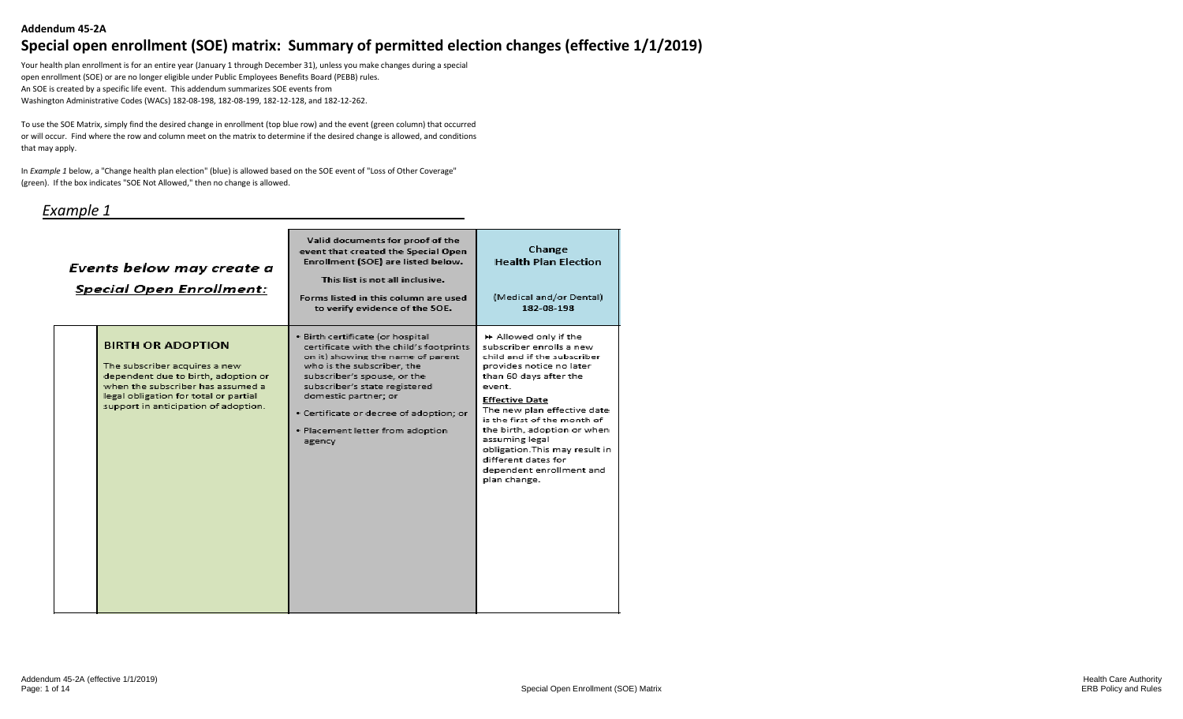#### **Addendum 45-2A**

# **Special open enrollment (SOE) matrix: Summary of permitted election changes (effective 1/1/2019)**

Your health plan enrollment is for an entire year (January 1 through December 31), unless you make changes during a special open enrollment (SOE) or are no longer eligible under Public Employees Benefits Board (PEBB) rules. An SOE is created by a specific life event. This addendum summarizes SOE events from Washington Administrative Codes (WACs) 182-08-198, 182-08-199, 182-12-128, and 182-12-262.

To use the SOE Matrix, simply find the desired change in enrollment (top blue row) and the event (green column) that occurred or will occur. Find where the row and column meet on the matrix to determine if the desired change is allowed, and conditions that may apply.

In *Example 1* below, a "Change health plan election" (blue) is allowed based on the SOE event of "Loss of Other Coverage" (green). If the box indicates "SOE Not Allowed," then no change is allowed.

#### *Example 1*

| Events below may create a<br><b>Special Open Enrollment:</b>                                                                                                                                                           | Valid documents for proof of the<br>event that created the Special Open<br>Enrollment (SOE) are listed below.<br>This list is not all inclusive.<br>Forms listed in this column are used<br>to verify evidence of the SOE.                                                                                                      | Change<br><b>Health Plan Election</b><br>(Medical and/or Dental)<br>182-08-198                                                                                                                                                                                                                                                                                                                 |
|------------------------------------------------------------------------------------------------------------------------------------------------------------------------------------------------------------------------|---------------------------------------------------------------------------------------------------------------------------------------------------------------------------------------------------------------------------------------------------------------------------------------------------------------------------------|------------------------------------------------------------------------------------------------------------------------------------------------------------------------------------------------------------------------------------------------------------------------------------------------------------------------------------------------------------------------------------------------|
| <b>BIRTH OR ADOPTION</b><br>The subscriber acquires a new<br>dependent due to birth, adoption or<br>when the subscriber has assumed a<br>legal obligation for total or partial<br>support in anticipation of adoption. | · Birth certificate (or hospital<br>certificate with the child's footprints<br>on it) showing the name of parent<br>who is the subscriber, the<br>subscriber's spouse, or the<br>subscriber's state registered<br>domestic partner; or<br>· Certificate or decree of adoption; or<br>. Placement letter from adoption<br>agency | ▶ Allowed only if the<br>subscriber enrolls a new<br>child and if the subscriber<br>provides notice no later<br>than 60 days after the<br>event.<br><b>Effective Date</b><br>The new plan effective date<br>is the first of the month of<br>the birth, adoption or when<br>assuming legal<br>obligation. This may result in<br>different dates for<br>dependent enrollment and<br>plan change. |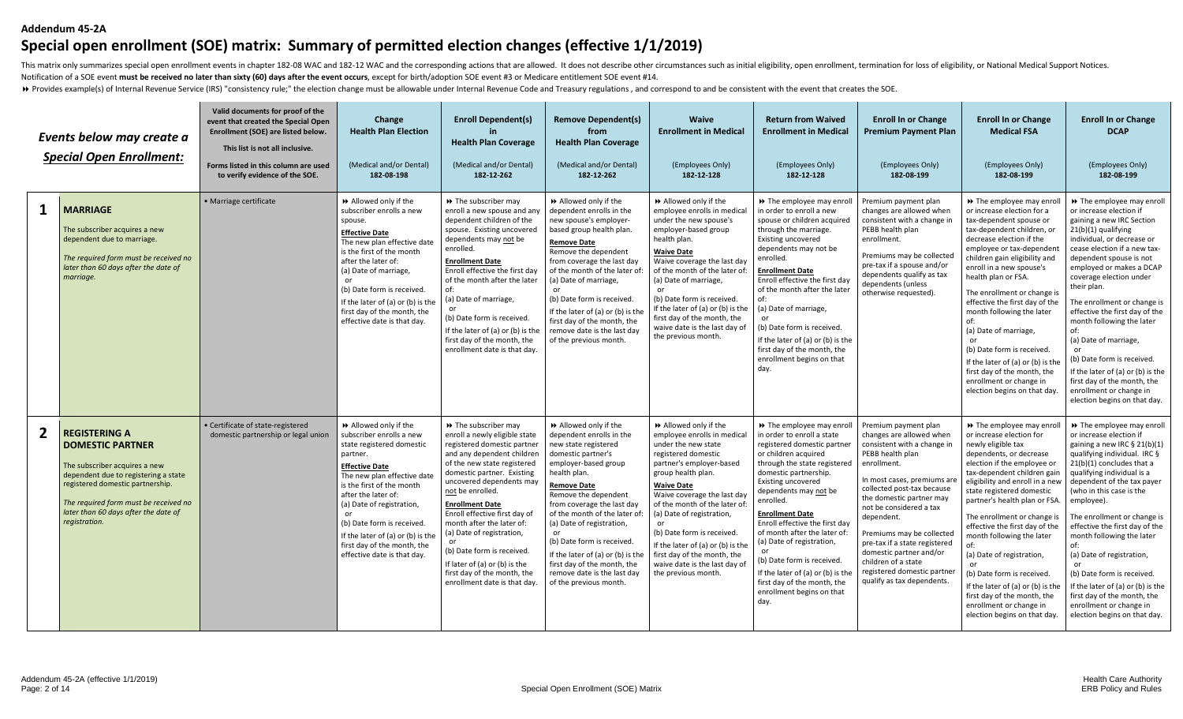#### **Addendum 45-2A**

# **Special open enrollment (SOE) matrix: Summary of permitted election changes (effective 1/1/2019)**

This matrix only summarizes special open enrollment events in chapter 182-08 WAC and 182-12 WAC and the corresponding actions that are allowed. It does not describe other circumstances such as initial eligibility, open enr Notification of a SOE event **must be received no later than sixty (60) days after the event occurs**, except for birth/adoption SOE event #3 or Medicare entitlement SOE event #14.

> Provides example(s) of Internal Revenue Service (IRS) "consistency rule;" the election change must be allowable under Internal Revenue Code and Treasury regulations, and correspond to and be consistent with the event tha

|              | Events below may create a<br><b>Special Open Enrollment:</b>                                                                                                                                                                                                   | Valid documents for proof of the<br>event that created the Special Open<br>Enrollment (SOE) are listed below.<br>This list is not all inclusive.<br>Forms listed in this column are used<br>to verify evidence of the SOE. | Change<br><b>Health Plan Election</b><br>(Medical and/or Dental)<br>182-08-198                                                                                                                                                                                                                                                                                    | <b>Enroll Dependent(s)</b><br><b>Health Plan Coverage</b><br>(Medical and/or Dental)<br>182-12-262                                                                                                                                                                                                                                                                                                                                                                                 | <b>Remove Dependent(s)</b><br>from<br><b>Health Plan Coverage</b><br>(Medical and/or Dental)<br>182-12-262                                                                                                                                                                                                                                                                                                                                   | <b>Waive</b><br><b>Enrollment in Medical</b><br>(Employees Only)<br>182-12-128                                                                                                                                                                                                                                                                                                                                                 | <b>Return from Waived</b><br><b>Enrollment in Medical</b><br>(Employees Only)<br>182-12-128                                                                                                                                                                                                                                                                                                                                                                                                                | <b>Enroll In or Change</b><br><b>Premium Payment Plan</b><br>(Employees Only)<br>182-08-199                                                                                                                                                                                                                                                                                                                                       | <b>Enroll In or Change</b><br><b>Medical FSA</b><br>(Employees Only)<br>182-08-199                                                                                                                                                                                                                                                                                                                                                                                                                                                                         | <b>Enroll In or Change</b><br><b>DCAP</b><br>(Employees Only)<br>182-08-199                                                                                                                                                                                                                                                                                                                                                                                                                                                                                         |
|--------------|----------------------------------------------------------------------------------------------------------------------------------------------------------------------------------------------------------------------------------------------------------------|----------------------------------------------------------------------------------------------------------------------------------------------------------------------------------------------------------------------------|-------------------------------------------------------------------------------------------------------------------------------------------------------------------------------------------------------------------------------------------------------------------------------------------------------------------------------------------------------------------|------------------------------------------------------------------------------------------------------------------------------------------------------------------------------------------------------------------------------------------------------------------------------------------------------------------------------------------------------------------------------------------------------------------------------------------------------------------------------------|----------------------------------------------------------------------------------------------------------------------------------------------------------------------------------------------------------------------------------------------------------------------------------------------------------------------------------------------------------------------------------------------------------------------------------------------|--------------------------------------------------------------------------------------------------------------------------------------------------------------------------------------------------------------------------------------------------------------------------------------------------------------------------------------------------------------------------------------------------------------------------------|------------------------------------------------------------------------------------------------------------------------------------------------------------------------------------------------------------------------------------------------------------------------------------------------------------------------------------------------------------------------------------------------------------------------------------------------------------------------------------------------------------|-----------------------------------------------------------------------------------------------------------------------------------------------------------------------------------------------------------------------------------------------------------------------------------------------------------------------------------------------------------------------------------------------------------------------------------|------------------------------------------------------------------------------------------------------------------------------------------------------------------------------------------------------------------------------------------------------------------------------------------------------------------------------------------------------------------------------------------------------------------------------------------------------------------------------------------------------------------------------------------------------------|---------------------------------------------------------------------------------------------------------------------------------------------------------------------------------------------------------------------------------------------------------------------------------------------------------------------------------------------------------------------------------------------------------------------------------------------------------------------------------------------------------------------------------------------------------------------|
| $\mathbf 1$  | <b>MARRIAGE</b><br>The subscriber acquires a new<br>dependent due to marriage.<br>The required form must be received no<br>later than 60 days after the date of<br>marriage.                                                                                   | · Marriage certificate                                                                                                                                                                                                     | >> Allowed only if the<br>subscriber enrolls a new<br>spouse.<br><b>Effective Date</b><br>The new plan effective date<br>is the first of the month<br>after the later of:<br>(a) Date of marriage,<br>or<br>(b) Date form is received<br>If the later of (a) or (b) is the<br>first day of the month, the<br>effective date is that day.                          | → The subscriber may<br>enroll a new spouse and any<br>dependent children of the<br>spouse. Existing uncovered<br>dependents may not be<br>enrolled.<br><b>Enrollment Date</b><br>Enroll effective the first day<br>of the month after the later<br>of:<br>(a) Date of marriage,<br>(b) Date form is received.<br>If the later of (a) or (b) is the<br>first day of the month, the<br>enrollment date is that day.                                                                 | >> Allowed only if the<br>dependent enrolls in the<br>new spouse's employer-<br>based group health plan.<br><b>Remove Date</b><br>Remove the dependent<br>from coverage the last day<br>of the month of the later of<br>(a) Date of marriage,<br>(b) Date form is received.<br>If the later of (a) or (b) is the<br>first day of the month, the<br>remove date is the last day<br>of the previous month.                                     | >> Allowed only if the<br>employee enrolls in medical<br>under the new spouse's<br>employer-based group<br>health plan.<br><b>Waive Date</b><br>Waive coverage the last day<br>of the month of the later of:<br>(a) Date of marriage,<br>(b) Date form is received.<br>If the later of (a) or (b) is the<br>first day of the month, the<br>waive date is the last day of<br>the previous month.                                | >> The employee may enroll<br>in order to enroll a new<br>spouse or children acquired<br>through the marriage.<br><b>Existing uncovered</b><br>dependents may not be<br>enrolled.<br><b>Enrollment Date</b><br>Enroll effective the first day<br>of the month after the later<br>(a) Date of marriage,<br>or<br>(b) Date form is received.<br>If the later of (a) or (b) is the<br>first day of the month, the<br>enrollment begins on that<br>day.                                                        | Premium payment plan<br>changes are allowed when<br>consistent with a change in<br>PEBB health plan<br>enrollment.<br>Premiums may be collected<br>pre-tax if a spouse and/or<br>dependents qualify as tax<br>dependents (unless<br>otherwise requested).                                                                                                                                                                         | >> The employee may enro<br>or increase election for a<br>tax-dependent spouse or<br>tax-dependent children, or<br>decrease election if the<br>employee or tax-dependen<br>children gain eligibility and<br>enroll in a new spouse's<br>health plan or FSA.<br>The enrollment or change is<br>effective the first day of the<br>month following the later<br>(a) Date of marriage,<br>(b) Date form is received.<br>If the later of (a) or (b) is the<br>first day of the month, the<br>enrollment or change in<br>election begins on that day.            | >> The employee may enroll<br>or increase election if<br>gaining a new IRC Section<br>21(b)(1) qualifying<br>individual, or decrease or<br>cease election if a new tax-<br>dependent spouse is not<br>employed or makes a DCAP<br>coverage election under<br>their plan.<br>The enrollment or change is<br>effective the first day of the<br>month following the later<br>of:<br>(a) Date of marriage,<br>(b) Date form is received.<br>If the later of (a) or (b) is the<br>first day of the month, the<br>enrollment or change in<br>election begins on that day. |
| $\mathbf{2}$ | <b>REGISTERING A</b><br><b>DOMESTIC PARTNER</b><br>The subscriber acquires a new<br>dependent due to registering a state<br>registered domestic partnership.<br>The required form must be received no<br>later than 60 days after the date of<br>registration. | • Certificate of state-registered<br>domestic partnership or legal union                                                                                                                                                   | Allowed only if the<br>subscriber enrolls a new<br>state registered domestic<br>partner.<br><b>Effective Date</b><br>The new plan effective date<br>is the first of the month<br>after the later of:<br>(a) Date of registration,<br>(b) Date form is received<br>If the later of (a) or (b) is the<br>first day of the month, the<br>effective date is that day. | → The subscriber may<br>enroll a newly eligible state<br>registered domestic partner<br>and any dependent children<br>of the new state registered<br>domestic partner. Existing<br>uncovered dependents may<br>not be enrolled.<br><b>Enrollment Date</b><br>Enroll effective first day of<br>month after the later of:<br>(a) Date of registration,<br>(b) Date form is received.<br>If later of (a) or (b) is the<br>first day of the month, the<br>enrollment date is that day. | >> Allowed only if the<br>dependent enrolls in the<br>new state registered<br>domestic partner's<br>employer-based group<br>health plan.<br><b>Remove Date</b><br>Remove the dependent<br>from coverage the last day<br>of the month of the later of<br>(a) Date of registration,<br>(b) Date form is received.<br>If the later of (a) or (b) is the<br>first day of the month, the<br>remove date is the last day<br>of the previous month. | Allowed only if the<br>employee enrolls in medical<br>under the new state<br>registered domestic<br>partner's employer-based<br>group health plan.<br><b>Waive Date</b><br>Waive coverage the last day<br>of the month of the later of:<br>(a) Date of registration,<br>(b) Date form is received.<br>If the later of (a) or (b) is the<br>first day of the month, the<br>waive date is the last day of<br>the previous month. | >> The employee may enroll<br>in order to enroll a state<br>registered domestic partner<br>or children acquired<br>through the state registered<br>domestic partnership<br><b>Existing uncovered</b><br>dependents may not be<br>enrolled.<br><b>Enrollment Date</b><br>Enroll effective the first day<br>of month after the later of:<br>(a) Date of registration,<br>(b) Date form is received.<br>If the later of (a) or (b) is the<br>first day of the month, the<br>enrollment begins on that<br>day. | Premium payment plan<br>changes are allowed when<br>consistent with a change in<br>PEBB health plan<br>enrollment.<br>In most cases, premiums are<br>collected post-tax because<br>the domestic partner may<br>not be considered a tax<br>dependent.<br>Premiums may be collected<br>pre-tax if a state registered<br>domestic partner and/or<br>children of a state<br>registered domestic partner<br>qualify as tax dependents. | → The employee may enro<br>or increase election for<br>newly eligible tax<br>dependents, or decrease<br>election if the employee or<br>tax-dependent children gain<br>eligibility and enroll in a new<br>state registered domestic<br>partner's health plan or FSA.<br>The enrollment or change i<br>effective the first day of the<br>month following the later<br>(a) Date of registration,<br>(b) Date form is received.<br>If the later of (a) or (b) is the<br>first day of the month, the<br>enrollment or change in<br>election begins on that day. | >> The employee may enroll<br>or increase election if<br>gaining a new IRC § 21(b)(1)<br>qualifying individual. IRC §<br>21(b)(1) concludes that a<br>qualifying individual is a<br>dependent of the tax payer<br>who in this case is the<br>employee).<br>The enrollment or change is<br>effective the first day of the<br>month following the later<br>of:<br>(a) Date of registration,<br>(b) Date form is received<br>If the later of (a) or (b) is the<br>first day of the month, the<br>enrollment or change in<br>election begins on that day.               |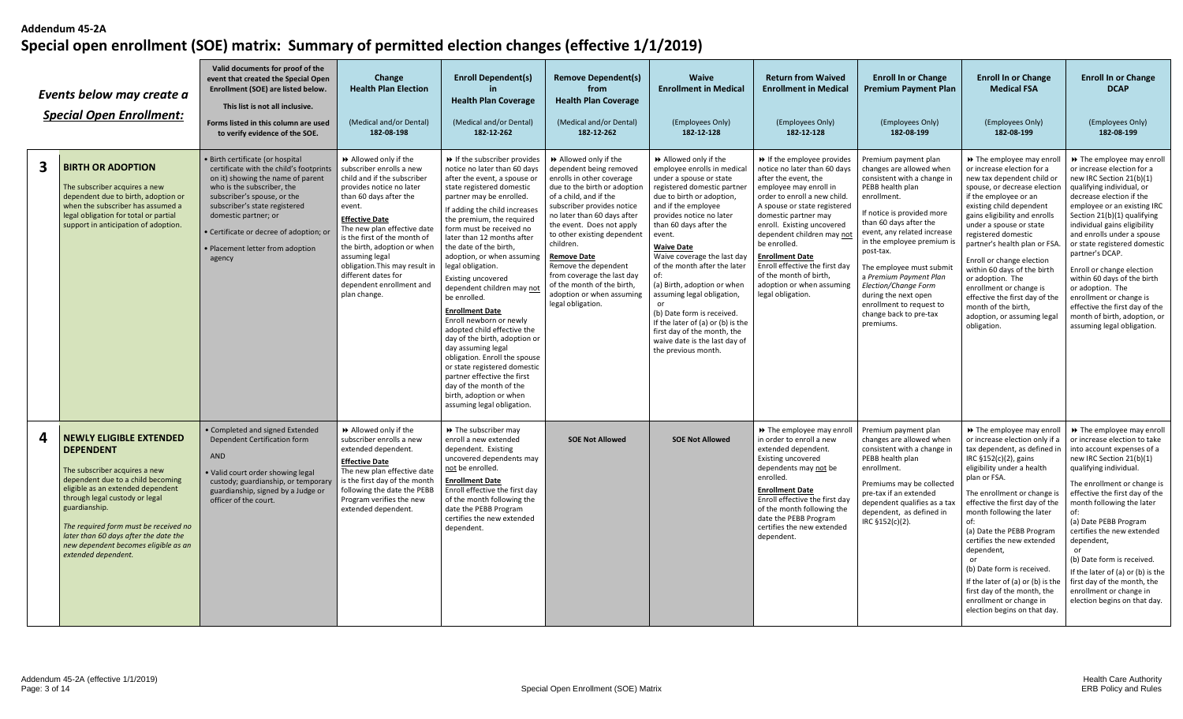|   | Events below may create a<br><b>Special Open Enrollment:</b>                                                                                                                                                                                                                                                                                                      | Valid documents for proof of the<br>event that created the Special Open<br>Enrollment (SOE) are listed below.<br>This list is not all inclusive.<br>Forms listed in this column are used<br>to verify evidence of the SOE.                                                                                                      | Change<br><b>Health Plan Election</b><br>(Medical and/or Dental)<br>182-08-198                                                                                                                                                                                                                                                                                                               | <b>Enroll Dependent(s)</b><br>in.<br><b>Health Plan Coverage</b><br>(Medical and/or Dental)<br>182-12-262                                                                                                                                                                                                                                                                                                                                                                                                                                                                                                                                                                                                                                                  | <b>Remove Dependent(s)</b><br>from<br><b>Health Plan Coverage</b><br>(Medical and/or Dental)<br>182-12-262                                                                                                                                                                                                                                                                                                                                 | <b>Waive</b><br><b>Enrollment in Medical</b><br>(Employees Only)<br>182-12-128                                                                                                                                                                                                                                                                                                                                                                                                                                                                     | <b>Return from Waived</b><br><b>Enrollment in Medical</b><br>(Employees Only)<br>182-12-128                                                                                                                                                                                                                                                                                                                            | <b>Enroll In or Change</b><br><b>Premium Payment Plan</b><br>(Employees Only)<br>182-08-199                                                                                                                                                                                                                                                                                                                                   | <b>Enroll In or Change</b><br><b>Medical FSA</b><br>(Employees Only)<br>182-08-199                                                                                                                                                                                                                                                                                                                                                                                                                                   | <b>Enroll In or Change</b><br><b>DCAP</b><br>(Employees Only)<br>182-08-199                                                                                                                                                                                                                                                                                                                                                                                                                                                             |
|---|-------------------------------------------------------------------------------------------------------------------------------------------------------------------------------------------------------------------------------------------------------------------------------------------------------------------------------------------------------------------|---------------------------------------------------------------------------------------------------------------------------------------------------------------------------------------------------------------------------------------------------------------------------------------------------------------------------------|----------------------------------------------------------------------------------------------------------------------------------------------------------------------------------------------------------------------------------------------------------------------------------------------------------------------------------------------------------------------------------------------|------------------------------------------------------------------------------------------------------------------------------------------------------------------------------------------------------------------------------------------------------------------------------------------------------------------------------------------------------------------------------------------------------------------------------------------------------------------------------------------------------------------------------------------------------------------------------------------------------------------------------------------------------------------------------------------------------------------------------------------------------------|--------------------------------------------------------------------------------------------------------------------------------------------------------------------------------------------------------------------------------------------------------------------------------------------------------------------------------------------------------------------------------------------------------------------------------------------|----------------------------------------------------------------------------------------------------------------------------------------------------------------------------------------------------------------------------------------------------------------------------------------------------------------------------------------------------------------------------------------------------------------------------------------------------------------------------------------------------------------------------------------------------|------------------------------------------------------------------------------------------------------------------------------------------------------------------------------------------------------------------------------------------------------------------------------------------------------------------------------------------------------------------------------------------------------------------------|-------------------------------------------------------------------------------------------------------------------------------------------------------------------------------------------------------------------------------------------------------------------------------------------------------------------------------------------------------------------------------------------------------------------------------|----------------------------------------------------------------------------------------------------------------------------------------------------------------------------------------------------------------------------------------------------------------------------------------------------------------------------------------------------------------------------------------------------------------------------------------------------------------------------------------------------------------------|-----------------------------------------------------------------------------------------------------------------------------------------------------------------------------------------------------------------------------------------------------------------------------------------------------------------------------------------------------------------------------------------------------------------------------------------------------------------------------------------------------------------------------------------|
| 3 | <b>BIRTH OR ADOPTION</b><br>The subscriber acquires a new<br>dependent due to birth, adoption or<br>when the subscriber has assumed a<br>legal obligation for total or partial<br>support in anticipation of adoption.                                                                                                                                            | · Birth certificate (or hospital<br>certificate with the child's footprints<br>on it) showing the name of parent<br>who is the subscriber, the<br>subscriber's spouse, or the<br>subscriber's state registered<br>domestic partner; or<br>• Certificate or decree of adoption; or<br>· Placement letter from adoption<br>agency | Allowed only if the<br>subscriber enrolls a new<br>child and if the subscriber<br>provides notice no later<br>than 60 days after the<br>event.<br><b>Effective Date</b><br>The new plan effective date<br>is the first of the month of<br>the birth, adoption or when<br>assuming legal<br>obligation. This may result in<br>different dates for<br>dependent enrollment and<br>plan change. | If the subscriber provides<br>notice no later than 60 days<br>after the event, a spouse or<br>state registered domestic<br>partner may be enrolled.<br>If adding the child increases<br>the premium, the required<br>form must be received no<br>later than 12 months after<br>the date of the birth,<br>adoption, or when assuming<br>legal obligation.<br>Existing uncovered<br>dependent children may not<br>be enrolled.<br><b>Enrollment Date</b><br>Enroll newborn or newly<br>adopted child effective the<br>day of the birth, adoption or<br>day assuming legal<br>obligation. Enroll the spouse<br>or state registered domestic<br>partner effective the first<br>day of the month of the<br>birth, adoption or when<br>assuming legal obligation | >> Allowed only if the<br>dependent being removed<br>enrolls in other coverage<br>due to the birth or adoption<br>of a child, and if the<br>subscriber provides notice<br>no later than 60 days after<br>the event. Does not apply<br>to other existing dependent<br>children.<br><b>Remove Date</b><br>Remove the dependent<br>from coverage the last day<br>of the month of the birth,<br>adoption or when assuming<br>legal obligation. | Allowed only if the<br>employee enrolls in medical<br>under a spouse or state<br>registered domestic partner<br>due to birth or adoption,<br>and if the employee<br>provides notice no later<br>than 60 days after the<br>event.<br><b>Waive Date</b><br>Waive coverage the last day<br>of the month after the later<br>of:<br>(a) Birth, adoption or when<br>assuming legal obligation,<br>(b) Date form is received.<br>If the later of (a) or (b) is the<br>first day of the month, the<br>waive date is the last day of<br>the previous month. | If the employee provides<br>notice no later than 60 days<br>after the event, the<br>employee may enroll in<br>order to enroll a new child.<br>A spouse or state registered<br>domestic partner may<br>enroll. Existing uncovered<br>dependent children may not<br>be enrolled.<br><b>Enrollment Date</b><br>Enroll effective the first day<br>of the month of birth.<br>adoption or when assuming<br>legal obligation. | Premium payment plan<br>changes are allowed when<br>consistent with a change in<br>PEBB health plan<br>enrollment.<br>If notice is provided more<br>than 60 days after the<br>event, any related increase<br>in the employee premium is<br>post-tax.<br>The employee must submit<br>a Premium Payment Plan<br>Election/Change Form<br>during the next open<br>enrollment to request to<br>change back to pre-tax<br>premiums. | >> The employee may enroll<br>or increase election for a<br>new tax dependent child or<br>spouse, or decrease election<br>if the employee or an<br>existing child dependent<br>gains eligibility and enrolls<br>under a spouse or state<br>registered domestic<br>partner's health plan or FSA<br>Enroll or change election<br>within 60 days of the birth<br>or adoption. The<br>enrollment or change is<br>effective the first day of the<br>month of the birth,<br>adoption, or assuming legal<br>obligation.     | >> The employee may enroll<br>or increase election for a<br>new IRC Section 21(b)(1)<br>qualifying individual, or<br>decrease election if the<br>employee or an existing IRC<br>Section 21(b)(1) qualifying<br>individual gains eligibility<br>and enrolls under a spouse<br>or state registered domestic<br>partner's DCAP.<br>Enroll or change election<br>within 60 days of the birth<br>or adoption. The<br>enrollment or change is<br>effective the first day of the<br>month of birth, adoption, or<br>assuming legal obligation. |
| 4 | <b>NEWLY ELIGIBLE EXTENDED</b><br><b>DEPENDENT</b><br>The subscriber acquires a new<br>dependent due to a child becoming<br>eligible as an extended dependent<br>through legal custody or legal<br>guardianship.<br>The required form must be received no<br>later than 60 days after the date the<br>new dependent becomes eligible as an<br>extended dependent. | Completed and signed Extended<br>Dependent Certification form<br><b>AND</b><br>• Valid court order showing legal<br>custody; guardianship, or temporary<br>guardianship, signed by a Judge or<br>officer of the court.                                                                                                          | >> Allowed only if the<br>subscriber enrolls a new<br>extended dependent.<br><b>Effective Date</b><br>The new plan effective date<br>is the first day of the month<br>following the date the PEBB<br>Program verifies the new<br>extended dependent.                                                                                                                                         | >> The subscriber may<br>enroll a new extended<br>dependent. Existing<br>uncovered dependents may<br>not be enrolled.<br><b>Enrollment Date</b><br>Enroll effective the first day<br>of the month following the<br>date the PEBB Program<br>certifies the new extended<br>dependent.                                                                                                                                                                                                                                                                                                                                                                                                                                                                       | <b>SOE Not Allowed</b>                                                                                                                                                                                                                                                                                                                                                                                                                     | <b>SOE Not Allowed</b>                                                                                                                                                                                                                                                                                                                                                                                                                                                                                                                             | >> The employee may enroll<br>in order to enroll a new<br>extended dependent.<br><b>Existing uncovered</b><br>dependents may not be<br>enrolled.<br><b>Enrollment Date</b><br>Enroll effective the first day<br>of the month following the<br>date the PEBB Program<br>certifies the new extended<br>dependent.                                                                                                        | Premium payment plan<br>changes are allowed when<br>consistent with a change in<br>PEBB health plan<br>enrollment.<br>Premiums may be collected<br>pre-tax if an extended<br>dependent qualifies as a tax<br>dependent, as defined in<br>IRC §152(c)(2).                                                                                                                                                                      | → The employee may enroll<br>or increase election only if a<br>tax dependent, as defined in<br>IRC §152(c)(2), gains<br>eligibility under a health<br>plan or FSA.<br>The enrollment or change is<br>effective the first day of the<br>month following the later<br>(a) Date the PEBB Program<br>certifies the new extended<br>dependent,<br>$\alpha$ r<br>(b) Date form is received.<br>If the later of (a) or (b) is the<br>first day of the month, the<br>enrollment or change in<br>election begins on that day. | >> The employee may enroll<br>or increase election to take<br>into account expenses of a<br>new IRC Section 21(b)(1)<br>qualifying individual.<br>The enrollment or change is<br>effective the first day of the<br>month following the later<br>of:<br>(a) Date PEBB Program<br>certifies the new extended<br>dependent,<br>$\alpha$ r<br>(b) Date form is received.<br>If the later of (a) or (b) is the<br>first day of the month, the<br>enrollment or change in<br>election begins on that day.                                     |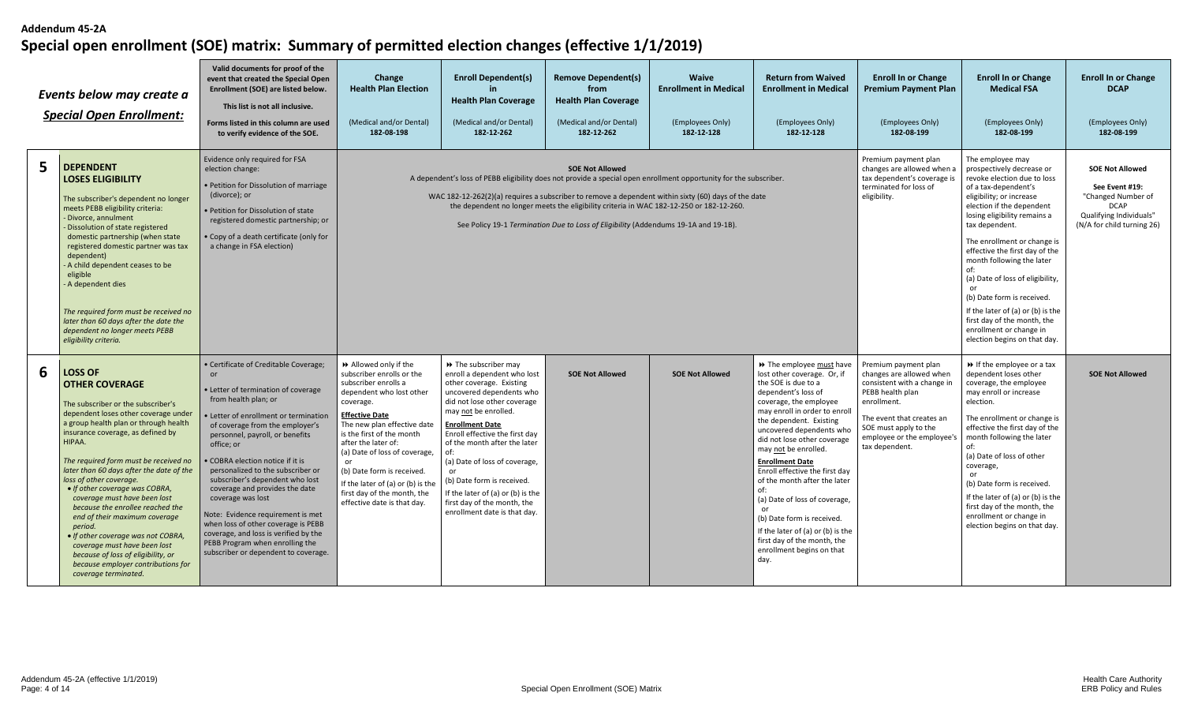|   | Events below may create a<br><b>Special Open Enrollment:</b>                                                                                                                                                                                                                                                                                                                                                                                                                                                                                                                                                                                              | Valid documents for proof of the<br>event that created the Special Open<br>Enrollment (SOE) are listed below.<br>This list is not all inclusive.<br>Forms listed in this column are used<br>to verify evidence of the SOE.                                                                                                                                                                                                                                                                                                                                                                       | Change<br><b>Health Plan Election</b><br>(Medical and/or Dental)<br>182-08-198                                                                                                                                                                                                                                                                                                                  | <b>Enroll Dependent(s)</b><br><b>Health Plan Coverage</b><br>(Medical and/or Dental)<br>182-12-262                                                                                                                                                                                                                                                                                                                                        | <b>Remove Dependent(s)</b><br>from<br><b>Health Plan Coverage</b><br>(Medical and/or Dental)<br>182-12-262                                                                                                                                                                                                                                                                                                                           | <b>Waive</b><br><b>Enrollment in Medical</b><br>(Employees Only)<br>182-12-128                                              | <b>Return from Waived</b><br><b>Enrollment in Medical</b><br>(Employees Only)<br>182-12-128                                                                                                                                                                                                                                                                                                                                                                                                                                                                | <b>Enroll In or Change</b><br><b>Premium Payment Plan</b><br>(Employees Only)<br>182-08-199                                                                                                                              | <b>Enroll In or Change</b><br><b>Medical FSA</b><br>(Employees Only)<br>182-08-199                                                                                                                                                                                                                                                                                                                                                     | <b>Enroll In or Change</b><br><b>DCAP</b><br>(Employees Only)<br>182-08-199 |
|---|-----------------------------------------------------------------------------------------------------------------------------------------------------------------------------------------------------------------------------------------------------------------------------------------------------------------------------------------------------------------------------------------------------------------------------------------------------------------------------------------------------------------------------------------------------------------------------------------------------------------------------------------------------------|--------------------------------------------------------------------------------------------------------------------------------------------------------------------------------------------------------------------------------------------------------------------------------------------------------------------------------------------------------------------------------------------------------------------------------------------------------------------------------------------------------------------------------------------------------------------------------------------------|-------------------------------------------------------------------------------------------------------------------------------------------------------------------------------------------------------------------------------------------------------------------------------------------------------------------------------------------------------------------------------------------------|-------------------------------------------------------------------------------------------------------------------------------------------------------------------------------------------------------------------------------------------------------------------------------------------------------------------------------------------------------------------------------------------------------------------------------------------|--------------------------------------------------------------------------------------------------------------------------------------------------------------------------------------------------------------------------------------------------------------------------------------------------------------------------------------------------------------------------------------------------------------------------------------|-----------------------------------------------------------------------------------------------------------------------------|------------------------------------------------------------------------------------------------------------------------------------------------------------------------------------------------------------------------------------------------------------------------------------------------------------------------------------------------------------------------------------------------------------------------------------------------------------------------------------------------------------------------------------------------------------|--------------------------------------------------------------------------------------------------------------------------------------------------------------------------------------------------------------------------|----------------------------------------------------------------------------------------------------------------------------------------------------------------------------------------------------------------------------------------------------------------------------------------------------------------------------------------------------------------------------------------------------------------------------------------|-----------------------------------------------------------------------------|
| 5 | <b>DEPENDENT</b><br><b>LOSES ELIGIBILITY</b><br>The subscriber's dependent no longer<br>meets PEBB eligibility criteria:<br>Divorce, annulment<br>Dissolution of state registered<br>domestic partnership (when state<br>registered domestic partner was tax<br>dependent)<br>A child dependent ceases to be<br>eligible<br>A dependent dies<br>The required form must be received no<br>later than 60 days after the date the<br>dependent no longer meets PEBB<br>eligibility criteria.                                                                                                                                                                 | Evidence only required for FSA<br>election change:<br>• Petition for Dissolution of marriage<br>(divorce); or<br>• Petition for Dissolution of state<br>registered domestic partnership; or<br>• Copy of a death certificate (only for<br>a change in FSA election)                                                                                                                                                                                                                                                                                                                              |                                                                                                                                                                                                                                                                                                                                                                                                 |                                                                                                                                                                                                                                                                                                                                                                                                                                           | <b>SOE Not Allowed</b><br>A dependent's loss of PEBB eligibility does not provide a special open enrollment opportunity for the subscriber.<br>WAC 182-12-262(2)(a) requires a subscriber to remove a dependent within sixty (60) days of the date<br>the dependent no longer meets the eligibility criteria in WAC 182-12-250 or 182-12-260.<br>See Policy 19-1 Termination Due to Loss of Eligibility (Addendums 19-1A and 19-18). | Premium payment plan<br>changes are allowed when a<br>tax dependent's coverage is<br>terminated for loss of<br>eligibility. | The employee may<br>prospectively decrease or<br>revoke election due to loss<br>of a tax-dependent's<br>eligibility; or increase<br>election if the dependent<br>losing eligibility remains a<br>tax dependent.<br>The enrollment or change is<br>effective the first day of the<br>month following the later<br>of:<br>(a) Date of loss of eligibility,<br>(b) Date form is received.<br>If the later of (a) or (b) is the<br>first day of the month, the<br>enrollment or change in<br>election begins on that day.                                      | <b>SOE Not Allowed</b><br>See Event #19:<br>"Changed Number of<br><b>DCAP</b><br>Qualifying Individuals"<br>(N/A for child turning 26)                                                                                   |                                                                                                                                                                                                                                                                                                                                                                                                                                        |                                                                             |
| 6 | <b>LOSS OF</b><br><b>OTHER COVERAGE</b><br>The subscriber or the subscriber's<br>dependent loses other coverage under<br>a group health plan or through health<br>insurance coverage, as defined by<br>HIPAA.<br>The required form must be received no<br>later than 60 days after the date of the<br>loss of other coverage.<br>• If other coverage was COBRA,<br>coverage must have been lost<br>because the enrollee reached the<br>end of their maximum coverage<br>period.<br>• If other coverage was not COBRA,<br>coverage must have been lost<br>because of loss of eligibility, or<br>because employer contributions for<br>coverage terminated. | • Certificate of Creditable Coverage;<br>• Letter of termination of coverage<br>from health plan; or<br>Letter of enrollment or termination<br>of coverage from the employer's<br>personnel, payroll, or benefits<br>office: or<br>COBRA election notice if it is<br>personalized to the subscriber or<br>subscriber's dependent who lost<br>coverage and provides the date<br>coverage was lost<br>Note: Evidence requirement is met<br>when loss of other coverage is PEBB<br>coverage, and loss is verified by the<br>PEBB Program when enrolling the<br>subscriber or dependent to coverage. | Allowed only if the<br>subscriber enrolls or the<br>subscriber enrolls a<br>dependent who lost other<br>coverage.<br><b>Effective Date</b><br>The new plan effective date<br>is the first of the month<br>after the later of:<br>(a) Date of loss of coverage,<br>(b) Date form is received.<br>If the later of (a) or (b) is the<br>first day of the month, the<br>effective date is that day. | >> The subscriber may<br>enroll a dependent who lost<br>other coverage. Existing<br>uncovered dependents who<br>did not lose other coverage<br>may not be enrolled.<br><b>Enrollment Date</b><br>Enroll effective the first day<br>of the month after the later<br>of:<br>(a) Date of loss of coverage,<br>(b) Date form is received.<br>If the later of (a) or (b) is the<br>first day of the month, the<br>enrollment date is that day. | <b>SOE Not Allowed</b>                                                                                                                                                                                                                                                                                                                                                                                                               | <b>SOE Not Allowed</b>                                                                                                      | >> The employee must have<br>lost other coverage. Or, if<br>the SOE is due to a<br>dependent's loss of<br>coverage, the employee<br>may enroll in order to enroll<br>the dependent. Existing<br>uncovered dependents who<br>did not lose other coverage<br>may not be enrolled.<br><b>Enrollment Date</b><br>Enroll effective the first day<br>of the month after the later<br>of:<br>(a) Date of loss of coverage,<br>(b) Date form is received.<br>If the later of (a) or (b) is the<br>first day of the month, the<br>enrollment begins on that<br>day. | Premium payment plan<br>changes are allowed when<br>consistent with a change in<br>PEBB health plan<br>enrollment.<br>The event that creates an<br>SOE must apply to the<br>employee or the employee's<br>tax dependent. | ▶ If the employee or a tax<br>dependent loses other<br>coverage, the employee<br>may enroll or increase<br>election.<br>The enrollment or change is<br>effective the first day of the<br>month following the later<br>of:<br>(a) Date of loss of other<br>coverage,<br>or<br>(b) Date form is received.<br>If the later of (a) or (b) is the<br>first day of the month, the<br>enrollment or change in<br>election begins on that day. | <b>SOE Not Allowed</b>                                                      |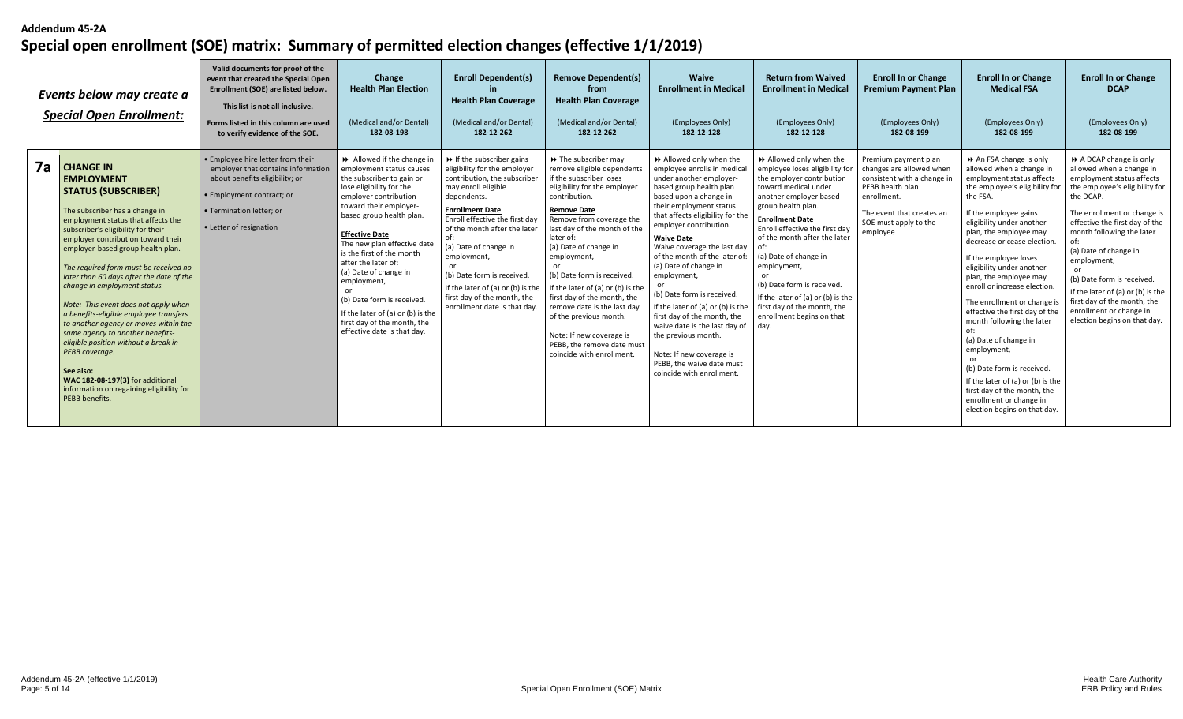|    | Events below may create a<br><b>Special Open Enrollment:</b>                                                                                                                                                                                                                                                                                                                                                                                                                                                                                                                                                                                                                                                              | Valid documents for proof of the<br>event that created the Special Open<br>Enrollment (SOE) are listed below.<br>This list is not all inclusive.<br>Forms listed in this column are used<br>to verify evidence of the SOE. | Change<br><b>Health Plan Election</b><br>(Medical and/or Dental)<br>182-08-198                                                                                                                                                                                                                                                                                                                                                                                                          | <b>Enroll Dependent(s)</b><br><b>Health Plan Coverage</b><br>(Medical and/or Dental)<br>182-12-262                                                                                                                                                                                                                                                                                                                   | <b>Remove Dependent(s)</b><br>from<br><b>Health Plan Coverage</b><br>(Medical and/or Dental)<br>182-12-262                                                                                                                                                                                                                                                                                                                                                                                                                     | <b>Waive</b><br><b>Enrollment in Medical</b><br>(Employees Only)<br>182-12-128                                                                                                                                                                                                                                                                                                                                                                                                                                                                                                                             | <b>Return from Waived</b><br><b>Enrollment in Medical</b><br>(Employees Only)<br>182-12-128                                                                                                                                                                                                                                                                                                                                                       | <b>Enroll In or Change</b><br><b>Premium Payment Plan</b><br>(Employees Only)<br>182-08-199                                                                                          | <b>Enroll In or Change</b><br><b>Medical FSA</b><br>(Employees Only)<br>182-08-199                                                                                                                                                                                                                                                                                                                                                                                                                                                                                                                                                                            | <b>Enroll In or Change</b><br><b>DCAP</b><br>(Employees Only)<br>182-08-199                                                                                                                                                                                                                                                                                                                                                      |
|----|---------------------------------------------------------------------------------------------------------------------------------------------------------------------------------------------------------------------------------------------------------------------------------------------------------------------------------------------------------------------------------------------------------------------------------------------------------------------------------------------------------------------------------------------------------------------------------------------------------------------------------------------------------------------------------------------------------------------------|----------------------------------------------------------------------------------------------------------------------------------------------------------------------------------------------------------------------------|-----------------------------------------------------------------------------------------------------------------------------------------------------------------------------------------------------------------------------------------------------------------------------------------------------------------------------------------------------------------------------------------------------------------------------------------------------------------------------------------|----------------------------------------------------------------------------------------------------------------------------------------------------------------------------------------------------------------------------------------------------------------------------------------------------------------------------------------------------------------------------------------------------------------------|--------------------------------------------------------------------------------------------------------------------------------------------------------------------------------------------------------------------------------------------------------------------------------------------------------------------------------------------------------------------------------------------------------------------------------------------------------------------------------------------------------------------------------|------------------------------------------------------------------------------------------------------------------------------------------------------------------------------------------------------------------------------------------------------------------------------------------------------------------------------------------------------------------------------------------------------------------------------------------------------------------------------------------------------------------------------------------------------------------------------------------------------------|---------------------------------------------------------------------------------------------------------------------------------------------------------------------------------------------------------------------------------------------------------------------------------------------------------------------------------------------------------------------------------------------------------------------------------------------------|--------------------------------------------------------------------------------------------------------------------------------------------------------------------------------------|---------------------------------------------------------------------------------------------------------------------------------------------------------------------------------------------------------------------------------------------------------------------------------------------------------------------------------------------------------------------------------------------------------------------------------------------------------------------------------------------------------------------------------------------------------------------------------------------------------------------------------------------------------------|----------------------------------------------------------------------------------------------------------------------------------------------------------------------------------------------------------------------------------------------------------------------------------------------------------------------------------------------------------------------------------------------------------------------------------|
| 7a | <b>CHANGE IN</b><br><b>EMPLOYMENT</b><br><b>STATUS (SUBSCRIBER)</b><br>The subscriber has a change in<br>employment status that affects the<br>subscriber's eligibility for their<br>employer contribution toward their<br>employer-based group health plan.<br>The required form must be received no<br>later than 60 days after the date of the<br>change in employment status.<br>Note: This event does not apply when<br>a benefits-eligible employee transfers<br>to another agency or moves within the<br>same agency to another benefits-<br>eligible position without a break in<br>PEBB coverage.<br>See also:<br>WAC 182-08-197(3) for additional<br>information on regaining eligibility for<br>PEBB benefits. | • Employee hire letter from their<br>employer that contains information<br>about benefits eligibility; or<br>• Employment contract; or<br>• Termination letter: or<br>• Letter of resignation                              | Allowed if the change in<br>employment status causes<br>the subscriber to gain or<br>lose eligibility for the<br>employer contribution<br>toward their employer-<br>based group health plan.<br><b>Effective Date</b><br>The new plan effective date<br>is the first of the month<br>after the later of:<br>(a) Date of change in<br>employment,<br>or<br>(b) Date form is received.<br>If the later of (a) or (b) is the<br>first day of the month, the<br>effective date is that day. | $\triangleright$ If the subscriber gains<br>eligibility for the employer<br>contribution, the subscriber<br>may enroll eligible<br>dependents.<br><b>Enrollment Date</b><br>Enroll effective the first day<br>of the month after the later<br>(a) Date of change in<br>employment,<br>(b) Date form is received.<br>If the later of (a) or (b) is the<br>first day of the month, the<br>enrollment date is that day. | >> The subscriber may<br>remove eligible dependents<br>if the subscriber loses<br>eligibility for the employer<br>contribution.<br><b>Remove Date</b><br>Remove from coverage the<br>last day of the month of the<br>later of:<br>(a) Date of change in<br>employment,<br>or<br>(b) Date form is received.<br>If the later of (a) or (b) is the<br>first day of the month, the<br>remove date is the last dav<br>of the previous month.<br>Note: If new coverage is<br>PEBB, the remove date must<br>coincide with enrollment. | Allowed only when the<br>employee enrolls in medical<br>under another employer-<br>based group health plan<br>based upon a change in<br>their employment status<br>that affects eligibility for the<br>employer contribution.<br><b>Waive Date</b><br>Waive coverage the last day<br>of the month of the later of:<br>(a) Date of change in<br>employment,<br>(b) Date form is received.<br>If the later of (a) or (b) is the<br>first day of the month, the<br>waive date is the last day of<br>the previous month.<br>Note: If new coverage is<br>PEBB, the waive date must<br>coincide with enrollment. | >> Allowed only when the<br>employee loses eligibility for<br>the employer contribution<br>toward medical under<br>another employer based<br>group health plan.<br><b>Enrollment Date</b><br>Enroll effective the first day<br>of the month after the later<br>of:<br>(a) Date of change in<br>employment,<br>(b) Date form is received.<br>If the later of (a) or (b) is the<br>first day of the month, the<br>enrollment begins on that<br>day. | Premium payment plan<br>changes are allowed when<br>consistent with a change in<br>PEBB health plan<br>enrollment.<br>The event that creates ar<br>SOE must apply to the<br>employee | An FSA change is only<br>allowed when a change in<br>employment status affects<br>the employee's eligibility for<br>the FSA.<br>If the employee gains<br>eligibility under another<br>plan, the employee may<br>decrease or cease election.<br>If the employee loses<br>eligibility under another<br>plan, the employee may<br>enroll or increase election.<br>The enrollment or change i<br>effective the first day of the<br>month following the later<br>(a) Date of change in<br>employment,<br>(b) Date form is received.<br>If the later of (a) or (b) is the<br>first day of the month, the<br>enrollment or change in<br>election begins on that day. | A DCAP change is only<br>allowed when a change in<br>employment status affects<br>the employee's eligibility for<br>the DCAP.<br>The enrollment or change is<br>effective the first day of the<br>month following the later<br>(a) Date of change in<br>employment,<br>(b) Date form is received.<br>If the later of (a) or (b) is the<br>first day of the month, the<br>enrollment or change in<br>election begins on that day. |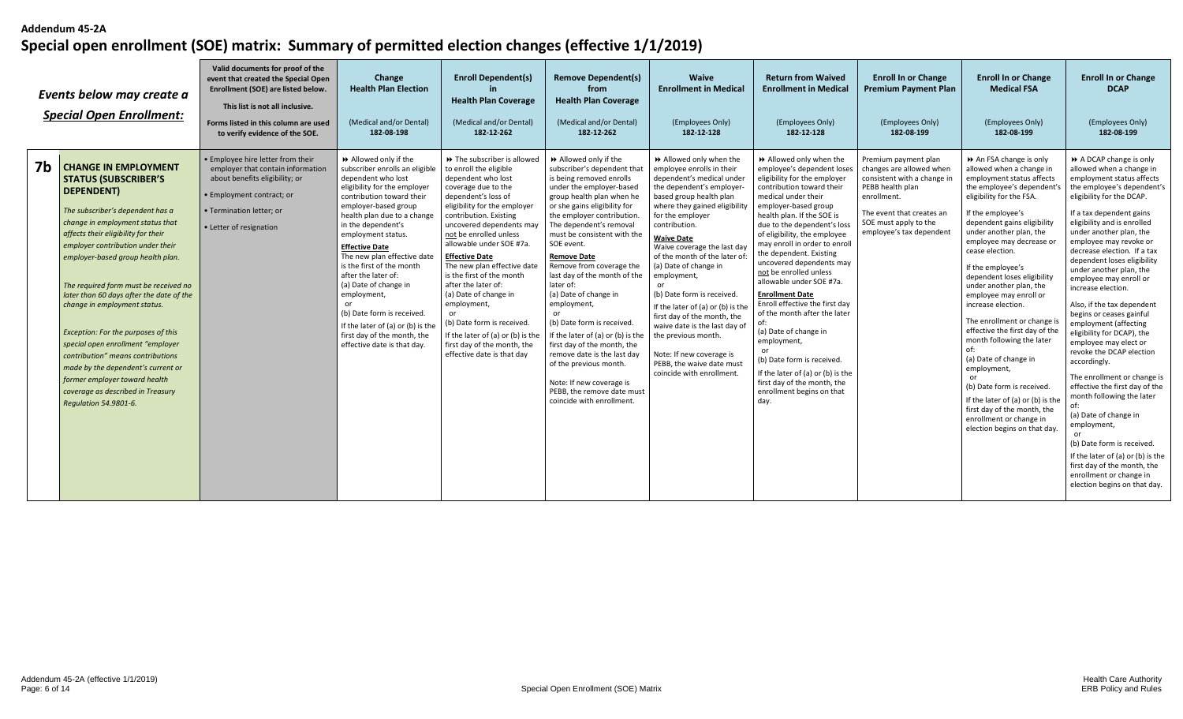|                | Events below may create a<br><b>Special Open Enrollment:</b>                                                                                                                                                                                                                                                                                                                                                                                                                                                                                                                                                                                 | Valid documents for proof of the<br>event that created the Special Open<br>Enrollment (SOE) are listed below.<br>This list is not all inclusive.<br>Forms listed in this column are used<br>to verify evidence of the SOE. | Change<br><b>Health Plan Election</b><br>(Medical and/or Dental)<br>182-08-198                                                                                                                                                                                                                                                                                                                                                                                                                                                   | <b>Enroll Dependent(s)</b><br><b>Health Plan Coverage</b><br>(Medical and/or Dental)<br>182-12-262                                                                                                                                                                                                                                                                                                                                                                                                                                                         | <b>Remove Dependent(s)</b><br>from<br><b>Health Plan Coverage</b><br>(Medical and/or Dental)<br>182-12-262                                                                                                                                                                                                                                                                                                                                                                                                                                                                                                                                                               | <b>Waive</b><br><b>Enrollment in Medical</b><br>(Employees Only)<br>182-12-128                                                                                                                                                                                                                                                                                                                                                                                                                                                                                                                   | <b>Return from Waived</b><br><b>Enrollment in Medical</b><br>(Employees Only)<br>182-12-128                                                                                                                                                                                                                                                                                                                                                                                                                                                                                                                                                                                                  | <b>Enroll In or Change</b><br><b>Premium Payment Plan</b><br>(Employees Only)<br>182-08-199                                                                                                          | <b>Enroll In or Change</b><br><b>Medical FSA</b><br>(Employees Only)<br>182-08-199                                                                                                                                                                                                                                                                                                                                                                                                                                                                                                                                                                                                                     | <b>Enroll In or Change</b><br><b>DCAP</b><br>(Employees Only)<br>182-08-199                                                                                                                                                                                                                                                                                                                                                                                                                                                                                                                                                                                                                                                                                                                                                                                                                 |
|----------------|----------------------------------------------------------------------------------------------------------------------------------------------------------------------------------------------------------------------------------------------------------------------------------------------------------------------------------------------------------------------------------------------------------------------------------------------------------------------------------------------------------------------------------------------------------------------------------------------------------------------------------------------|----------------------------------------------------------------------------------------------------------------------------------------------------------------------------------------------------------------------------|----------------------------------------------------------------------------------------------------------------------------------------------------------------------------------------------------------------------------------------------------------------------------------------------------------------------------------------------------------------------------------------------------------------------------------------------------------------------------------------------------------------------------------|------------------------------------------------------------------------------------------------------------------------------------------------------------------------------------------------------------------------------------------------------------------------------------------------------------------------------------------------------------------------------------------------------------------------------------------------------------------------------------------------------------------------------------------------------------|--------------------------------------------------------------------------------------------------------------------------------------------------------------------------------------------------------------------------------------------------------------------------------------------------------------------------------------------------------------------------------------------------------------------------------------------------------------------------------------------------------------------------------------------------------------------------------------------------------------------------------------------------------------------------|--------------------------------------------------------------------------------------------------------------------------------------------------------------------------------------------------------------------------------------------------------------------------------------------------------------------------------------------------------------------------------------------------------------------------------------------------------------------------------------------------------------------------------------------------------------------------------------------------|----------------------------------------------------------------------------------------------------------------------------------------------------------------------------------------------------------------------------------------------------------------------------------------------------------------------------------------------------------------------------------------------------------------------------------------------------------------------------------------------------------------------------------------------------------------------------------------------------------------------------------------------------------------------------------------------|------------------------------------------------------------------------------------------------------------------------------------------------------------------------------------------------------|--------------------------------------------------------------------------------------------------------------------------------------------------------------------------------------------------------------------------------------------------------------------------------------------------------------------------------------------------------------------------------------------------------------------------------------------------------------------------------------------------------------------------------------------------------------------------------------------------------------------------------------------------------------------------------------------------------|---------------------------------------------------------------------------------------------------------------------------------------------------------------------------------------------------------------------------------------------------------------------------------------------------------------------------------------------------------------------------------------------------------------------------------------------------------------------------------------------------------------------------------------------------------------------------------------------------------------------------------------------------------------------------------------------------------------------------------------------------------------------------------------------------------------------------------------------------------------------------------------------|
| 7 <sub>b</sub> | <b>CHANGE IN EMPLOYMENT</b><br><b>STATUS (SUBSCRIBER'S</b><br>DEPENDENT)<br>The subscriber's dependent has a<br>change in employment status that<br>affects their eligibility for their<br>employer contribution under their<br>employer-based group health plan.<br>The required form must be received no<br>later than 60 days after the date of the<br>change in employment status.<br>Exception: For the purposes of this<br>special open enrollment "employer<br>contribution" means contributions<br>made by the dependent's current or<br>former employer toward health<br>coverage as described in Treasury<br>Regulation 54.9801-6. | • Employee hire letter from their<br>employer that contain information<br>about benefits eligibility; or<br>• Employment contract; or<br>• Termination letter: or<br>• Letter of resignation                               | Allowed only if the<br>subscriber enrolls an eligible<br>dependent who lost<br>eligibility for the employer<br>contribution toward their<br>employer-based group<br>health plan due to a change<br>in the dependent's<br>employment status.<br><b>Effective Date</b><br>The new plan effective date<br>is the first of the month<br>after the later of:<br>(a) Date of change in<br>employment,<br>(b) Date form is received.<br>If the later of (a) or (b) is the<br>first day of the month, the<br>effective date is that day. | >> The subscriber is allowed<br>to enroll the eligible<br>dependent who lost<br>coverage due to the<br>dependent's loss of<br>eligibility for the employer<br>contribution. Existing<br>uncovered dependents may<br>not be enrolled unless<br>allowable under SOE #7a.<br><b>Effective Date</b><br>The new plan effective date<br>is the first of the month<br>after the later of:<br>(a) Date of change in<br>employment,<br>(b) Date form is received.<br>If the later of (a) or (b) is the<br>first day of the month, the<br>effective date is that day | >> Allowed only if the<br>subscriber's dependent that<br>is being removed enrolls<br>under the employer-based<br>group health plan when he<br>or she gains eligibility for<br>the employer contribution.<br>The dependent's removal<br>must be consistent with the<br>SOE event.<br><b>Remove Date</b><br>Remove from coverage the<br>last day of the month of the<br>later of:<br>(a) Date of change in<br>employment,<br>(b) Date form is received.<br>If the later of (a) or (b) is the<br>first day of the month, the<br>remove date is the last day<br>of the previous month.<br>Note: If new coverage is<br>PEBB, the remove date must<br>coincide with enrollment | Allowed only when the<br>employee enrolls in their<br>dependent's medical under<br>the dependent's employer-<br>based group health plan<br>where they gained eligibility<br>for the emplover<br>contribution.<br><b>Waive Date</b><br>Waive coverage the last day<br>of the month of the later of:<br>(a) Date of change in<br>employment,<br>or<br>(b) Date form is received.<br>If the later of (a) or (b) is the<br>first day of the month, the<br>waive date is the last day of<br>the previous month.<br>Note: If new coverage is<br>PEBB, the waive date must<br>coincide with enrollment. | Allowed only when the<br>employee's dependent loses<br>eligibility for the employer<br>contribution toward their<br>medical under their<br>employer-based group<br>health plan. If the SOE is<br>due to the dependent's loss<br>of eligibility, the employee<br>may enroll in order to enroll<br>the dependent. Existing<br>uncovered dependents may<br>not be enrolled unless<br>allowable under SOE #7a.<br><b>Enrollment Date</b><br>Enroll effective the first day<br>of the month after the later<br>of:<br>(a) Date of change in<br>employment,<br>(b) Date form is received.<br>If the later of (a) or (b) is the<br>first day of the month, the<br>enrollment begins on that<br>day. | Premium payment plan<br>changes are allowed when<br>consistent with a change in<br>PEBB health plan<br>enrollment.<br>The event that creates an<br>SOE must apply to the<br>employee's tax dependent | An FSA change is only<br>allowed when a change in<br>employment status affects<br>the employee's dependent'<br>eligibility for the FSA.<br>If the employee's<br>dependent gains eligibility<br>under another plan, the<br>employee may decrease or<br>cease election.<br>If the employee's<br>dependent loses eligibility<br>under another plan, the<br>employee may enroll or<br>increase election.<br>The enrollment or change i<br>effective the first day of the<br>month following the later<br>(a) Date of change in<br>employment,<br>(b) Date form is received.<br>If the later of (a) or (b) is the<br>first day of the month, the<br>enrollment or change in<br>election begins on that day. | A DCAP change is only<br>allowed when a change in<br>employment status affects<br>the employee's dependent's<br>eligibility for the DCAP.<br>If a tax dependent gains<br>eligibility and is enrolled<br>under another plan, the<br>employee may revoke or<br>decrease election. If a tax<br>dependent loses eligibility<br>under another plan, the<br>employee may enroll or<br>increase election.<br>Also, if the tax dependent<br>begins or ceases gainful<br>employment (affecting<br>eligibility for DCAP), the<br>employee may elect or<br>revoke the DCAP election<br>accordingly.<br>The enrollment or change is<br>effective the first day of the<br>month following the later<br>(a) Date of change in<br>employment,<br>(b) Date form is received.<br>If the later of (a) or (b) is the<br>first day of the month, the<br>enrollment or change in<br>election begins on that day. |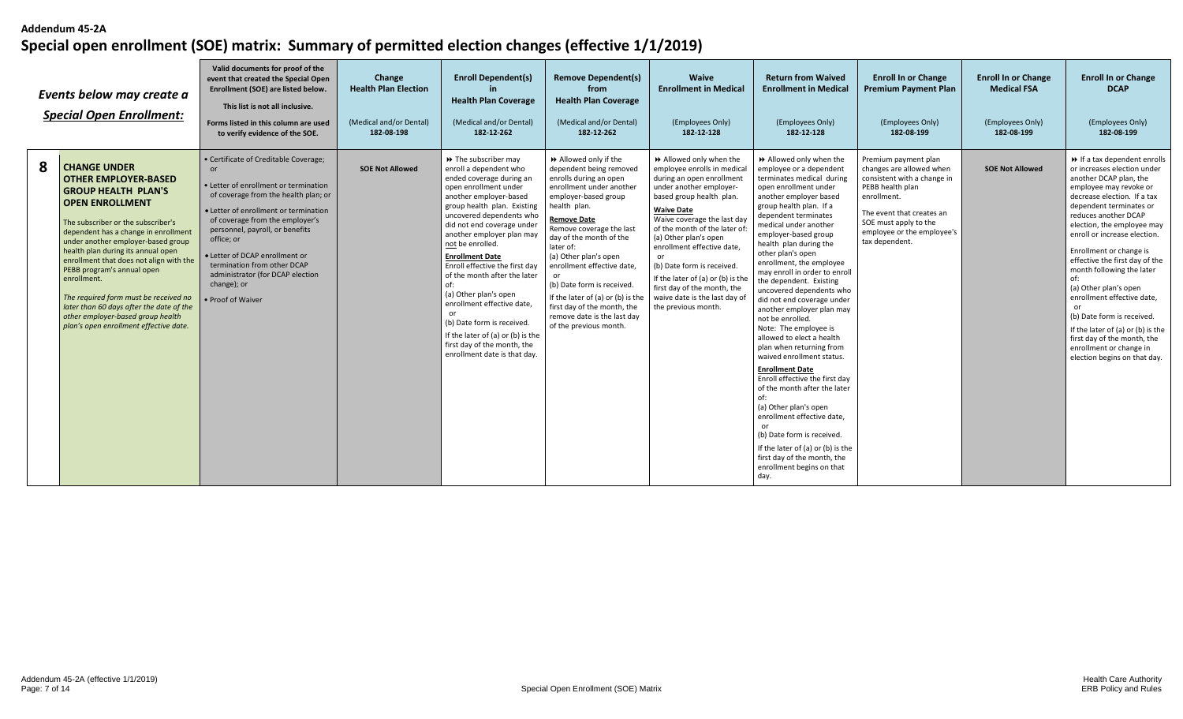|   | Events below may create a<br><b>Special Open Enrollment:</b>                                                                                                                                                                                                                                                                                                                                                                                                                                                                     | Valid documents for proof of the<br>event that created the Special Open<br>Enrollment (SOE) are listed below.<br>This list is not all inclusive.<br>Forms listed in this column are used<br>to verify evidence of the SOE.                                                                                                                                                                       | Change<br><b>Health Plan Election</b><br>(Medical and/or Dental)<br>182-08-198 | <b>Enroll Dependent(s)</b><br><b>Health Plan Coverage</b><br>(Medical and/or Dental)<br>182-12-262                                                                                                                                                                                                                                                                                                                                                                                                                                                                             | <b>Remove Dependent(s)</b><br>from<br><b>Health Plan Coverage</b><br>(Medical and/or Dental)<br>182-12-262                                                                                                                                                                                                                                                                                                                                        | <b>Waive</b><br><b>Enrollment in Medical</b><br>(Employees Only)<br>182-12-128                                                                                                                                                                                                                                                                                                                                                                            | <b>Return from Waived</b><br><b>Enrollment in Medical</b><br>(Employees Only)<br>182-12-128                                                                                                                                                                                                                                                                                                                                                                                                                                                                                                                                                                                                                                                                                                                                                                                                                     | <b>Enroll In or Change</b><br><b>Premium Payment Plan</b><br>(Employees Only)<br>182-08-199                                                                                                                              | <b>Enroll In or Change</b><br><b>Medical FSA</b><br>(Employees Only)<br>182-08-199 | <b>Enroll In or Change</b><br><b>DCAP</b><br>(Employees Only)<br>182-08-199                                                                                                                                                                                                                                                                                                                                                                                                                                                                                                        |
|---|----------------------------------------------------------------------------------------------------------------------------------------------------------------------------------------------------------------------------------------------------------------------------------------------------------------------------------------------------------------------------------------------------------------------------------------------------------------------------------------------------------------------------------|--------------------------------------------------------------------------------------------------------------------------------------------------------------------------------------------------------------------------------------------------------------------------------------------------------------------------------------------------------------------------------------------------|--------------------------------------------------------------------------------|--------------------------------------------------------------------------------------------------------------------------------------------------------------------------------------------------------------------------------------------------------------------------------------------------------------------------------------------------------------------------------------------------------------------------------------------------------------------------------------------------------------------------------------------------------------------------------|---------------------------------------------------------------------------------------------------------------------------------------------------------------------------------------------------------------------------------------------------------------------------------------------------------------------------------------------------------------------------------------------------------------------------------------------------|-----------------------------------------------------------------------------------------------------------------------------------------------------------------------------------------------------------------------------------------------------------------------------------------------------------------------------------------------------------------------------------------------------------------------------------------------------------|-----------------------------------------------------------------------------------------------------------------------------------------------------------------------------------------------------------------------------------------------------------------------------------------------------------------------------------------------------------------------------------------------------------------------------------------------------------------------------------------------------------------------------------------------------------------------------------------------------------------------------------------------------------------------------------------------------------------------------------------------------------------------------------------------------------------------------------------------------------------------------------------------------------------|--------------------------------------------------------------------------------------------------------------------------------------------------------------------------------------------------------------------------|------------------------------------------------------------------------------------|------------------------------------------------------------------------------------------------------------------------------------------------------------------------------------------------------------------------------------------------------------------------------------------------------------------------------------------------------------------------------------------------------------------------------------------------------------------------------------------------------------------------------------------------------------------------------------|
| 8 | <b>CHANGE UNDER</b><br><b>OTHER EMPLOYER-BASED</b><br><b>GROUP HEALTH PLAN'S</b><br><b>OPEN ENROLLMENT</b><br>The subscriber or the subscriber's<br>dependent has a change in enrollment<br>under another employer-based group<br>health plan during its annual open<br>enrollment that does not align with the<br>PEBB program's annual open<br>enrollment.<br>The required form must be received no<br>later than 60 days after the date of the<br>other employer-based group health<br>plan's open enrollment effective date. | • Certificate of Creditable Coverage;<br>or<br>• Letter of enrollment or termination<br>of coverage from the health plan; or<br>• Letter of enrollment or termination<br>of coverage from the employer's<br>personnel, payroll, or benefits<br>office; or<br>· Letter of DCAP enrollment or<br>termination from other DCAP<br>administrator (for DCAP election<br>change); or<br>Proof of Waiver | <b>SOE Not Allowed</b>                                                         | $\rightarrow$ The subscriber may<br>enroll a dependent who<br>ended coverage during ar<br>open enrollment under<br>another employer-based<br>group health plan. Existing<br>uncovered dependents who<br>did not end coverage under<br>another employer plan may<br>not be enrolled.<br><b>Enrollment Date</b><br>Enroll effective the first day<br>of the month after the later<br>(a) Other plan's open<br>enrollment effective date,<br>or<br>(b) Date form is received.<br>If the later of (a) or (b) is the<br>first day of the month, the<br>enrollment date is that day. | Allowed only if the<br>dependent being removed<br>enrolls during an open<br>enrollment under another<br>employer-based group<br>health plan.<br>Remove Date<br>Remove coverage the last<br>day of the month of the<br>later of:<br>(a) Other plan's open<br>enrollment effective date,<br>(b) Date form is received.<br>If the later of (a) or (b) is the<br>first day of the month, the<br>remove date is the last day<br>of the previous month. | Allowed only when the<br>employee enrolls in medical<br>during an open enrollment<br>under another employer-<br>based group health plan.<br><b>Waive Date</b><br>Waive coverage the last day<br>of the month of the later of<br>(a) Other plan's open<br>enrollment effective date,<br>$\Omega$<br>(b) Date form is received.<br>If the later of (a) or (b) is the<br>first day of the month, the<br>waive date is the last day of<br>the previous month. | >> Allowed only when the<br>employee or a dependent<br>terminates medical during<br>open enrollment under<br>another employer based<br>group health plan. If a<br>dependent terminates<br>medical under another<br>employer-based group<br>health plan during the<br>other plan's open<br>enrollment, the employee<br>may enroll in order to enroll<br>the dependent. Existing<br>uncovered dependents who<br>did not end coverage under<br>another employer plan may<br>not be enrolled.<br>Note: The employee is<br>allowed to elect a health<br>plan when returning from<br>waived enrollment status.<br><b>Enrollment Date</b><br>Enroll effective the first day<br>of the month after the later<br>of:<br>(a) Other plan's open<br>enrollment effective date.<br>or<br>(b) Date form is received.<br>If the later of (a) or (b) is the<br>first day of the month, the<br>enrollment begins on that<br>day. | Premium payment plan<br>changes are allowed when<br>consistent with a change in<br>PEBB health plan<br>enrollment.<br>The event that creates an<br>SOE must apply to the<br>employee or the employee's<br>tax dependent. | <b>SOE Not Allowed</b>                                                             | If a tax dependent enrolls<br>or increases election under<br>another DCAP plan, the<br>employee may revoke or<br>decrease election. If a tax<br>dependent terminates or<br>reduces another DCAP<br>election, the employee may<br>enroll or increase election.<br>Enrollment or change is<br>effective the first day of the<br>month following the later<br>of:<br>(a) Other plan's open<br>enrollment effective date,<br>(b) Date form is received.<br>If the later of (a) or (b) is the<br>first day of the month, the<br>enrollment or change in<br>election begins on that day. |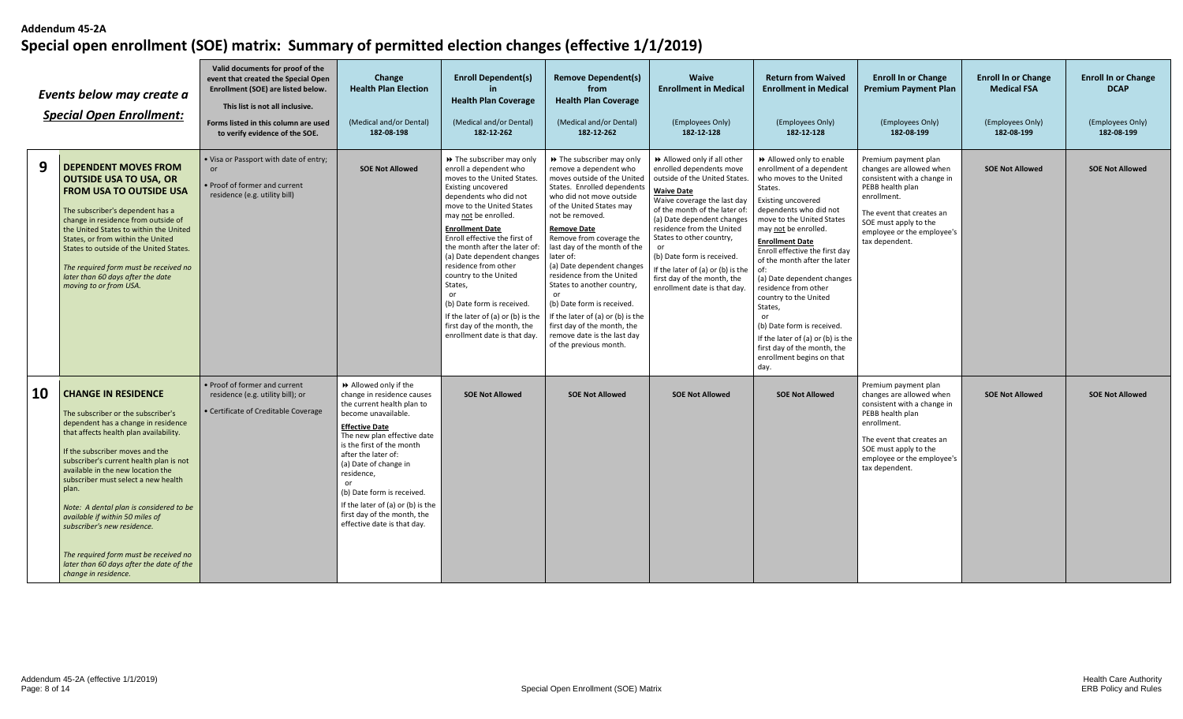|    | Events below may create a<br><b>Special Open Enrollment:</b>                                                                                                                                                                                                                                                                                                                                                                                                                                                                                   | Valid documents for proof of the<br>event that created the Special Open<br>Enrollment (SOE) are listed below.<br>This list is not all inclusive.<br>Forms listed in this column are used<br>to verify evidence of the SOE. | Change<br><b>Health Plan Election</b><br>(Medical and/or Dental)<br>182-08-198                                                                                                                                                                                                                                                                                                                   | <b>Enroll Dependent(s)</b><br><b>Health Plan Coverage</b><br>(Medical and/or Dental)<br>182-12-262                                                                                                                                                                                                                                                                                                                                                                                                               | <b>Remove Dependent(s)</b><br>from<br><b>Health Plan Coverage</b><br>(Medical and/or Dental)<br>182-12-262                                                                                                                                                                                                                                                                                                                                                                                                                                | <b>Waive</b><br><b>Enrollment in Medical</b><br>(Employees Only)<br>182-12-128                                                                                                                                                                                                                                                                                                                               | <b>Return from Waived</b><br><b>Enrollment in Medical</b><br>(Employees Only)<br>182-12-128                                                                                                                                                                                                                                                                                                                                                                                                                                                     | <b>Enroll In or Change</b><br><b>Premium Payment Plan</b><br>(Employees Only)<br>182-08-199                                                                                                                              | <b>Enroll In or Change</b><br><b>Medical FSA</b><br>(Employees Only)<br>182-08-199 | <b>Enroll In or Change</b><br><b>DCAP</b><br>(Employees Only)<br>182-08-199 |
|----|------------------------------------------------------------------------------------------------------------------------------------------------------------------------------------------------------------------------------------------------------------------------------------------------------------------------------------------------------------------------------------------------------------------------------------------------------------------------------------------------------------------------------------------------|----------------------------------------------------------------------------------------------------------------------------------------------------------------------------------------------------------------------------|--------------------------------------------------------------------------------------------------------------------------------------------------------------------------------------------------------------------------------------------------------------------------------------------------------------------------------------------------------------------------------------------------|------------------------------------------------------------------------------------------------------------------------------------------------------------------------------------------------------------------------------------------------------------------------------------------------------------------------------------------------------------------------------------------------------------------------------------------------------------------------------------------------------------------|-------------------------------------------------------------------------------------------------------------------------------------------------------------------------------------------------------------------------------------------------------------------------------------------------------------------------------------------------------------------------------------------------------------------------------------------------------------------------------------------------------------------------------------------|--------------------------------------------------------------------------------------------------------------------------------------------------------------------------------------------------------------------------------------------------------------------------------------------------------------------------------------------------------------------------------------------------------------|-------------------------------------------------------------------------------------------------------------------------------------------------------------------------------------------------------------------------------------------------------------------------------------------------------------------------------------------------------------------------------------------------------------------------------------------------------------------------------------------------------------------------------------------------|--------------------------------------------------------------------------------------------------------------------------------------------------------------------------------------------------------------------------|------------------------------------------------------------------------------------|-----------------------------------------------------------------------------|
| 9  | <b>DEPENDENT MOVES FROM</b><br><b>OUTSIDE USA TO USA, OR</b><br><b>FROM USA TO OUTSIDE USA</b><br>The subscriber's dependent has a<br>change in residence from outside of<br>the United States to within the United<br>States, or from within the United<br>States to outside of the United States.<br>The required form must be received no<br>later than 60 days after the date<br>moving to or from USA.                                                                                                                                    | . Visa or Passport with date of entry;<br>or<br>• Proof of former and current<br>residence (e.g. utility bill)                                                                                                             | <b>SOE Not Allowed</b>                                                                                                                                                                                                                                                                                                                                                                           | >> The subscriber may only<br>enroll a dependent who<br>moves to the United States.<br>Existing uncovered<br>dependents who did not<br>move to the United States<br>may not be enrolled.<br><b>Enrollment Date</b><br>Enroll effective the first of<br>the month after the later of:<br>(a) Date dependent changes<br>residence from other<br>country to the United<br>States,<br>(b) Date form is received.<br>If the later of (a) or (b) is the<br>first day of the month, the<br>enrollment date is that day. | >> The subscriber may only<br>remove a dependent who<br>moves outside of the United<br>States. Enrolled dependents<br>who did not move outside<br>of the United States may<br>not be removed.<br>Remove Date<br>Remove from coverage the<br>last day of the month of the<br>later of:<br>(a) Date dependent changes<br>residence from the United<br>States to another country,<br>(b) Date form is received.<br>If the later of (a) or (b) is the<br>first day of the month, the<br>remove date is the last day<br>of the previous month. | >> Allowed only if all other<br>enrolled dependents move<br>outside of the United States<br><b>Waive Date</b><br>Waive coverage the last day<br>of the month of the later of:<br>(a) Date dependent changes<br>residence from the United<br>States to other country,<br>or<br>(b) Date form is received.<br>If the later of (a) or (b) is the<br>first day of the month, the<br>enrollment date is that day. | Allowed only to enable<br>enrollment of a dependent<br>who moves to the United<br>States.<br><b>Existing uncovered</b><br>dependents who did not<br>move to the United States<br>may not be enrolled.<br><b>Enrollment Date</b><br>Enroll effective the first day<br>of the month after the later<br>of:<br>(a) Date dependent changes<br>residence from other<br>country to the United<br>States,<br>or<br>(b) Date form is received.<br>If the later of (a) or (b) is the<br>first day of the month, the<br>enrollment begins on that<br>day. | Premium payment plan<br>changes are allowed when<br>consistent with a change in<br>PEBB health plan<br>enrollment.<br>The event that creates an<br>SOE must apply to the<br>employee or the employee's<br>tax dependent. | <b>SOE Not Allowed</b>                                                             | <b>SOE Not Allowed</b>                                                      |
| 10 | <b>CHANGE IN RESIDENCE</b><br>The subscriber or the subscriber's<br>dependent has a change in residence<br>that affects health plan availability.<br>If the subscriber moves and the<br>subscriber's current health plan is not<br>available in the new location the<br>subscriber must select a new health<br>plan.<br>Note: A dental plan is considered to be<br>available if within 50 miles of<br>subscriber's new residence.<br>The required form must be received no<br>later than 60 days after the date of the<br>change in residence. | • Proof of former and current<br>residence (e.g. utility bill); or<br>• Certificate of Creditable Coverage                                                                                                                 | Allowed only if the<br>change in residence causes<br>the current health plan to<br>become unavailable.<br><b>Effective Date</b><br>The new plan effective date<br>is the first of the month<br>after the later of:<br>(a) Date of change in<br>residence,<br>or<br>(b) Date form is received.<br>If the later of (a) or (b) is the<br>first day of the month, the<br>effective date is that day. | <b>SOE Not Allowed</b>                                                                                                                                                                                                                                                                                                                                                                                                                                                                                           | <b>SOE Not Allowed</b>                                                                                                                                                                                                                                                                                                                                                                                                                                                                                                                    | <b>SOE Not Allowed</b>                                                                                                                                                                                                                                                                                                                                                                                       | <b>SOE Not Allowed</b>                                                                                                                                                                                                                                                                                                                                                                                                                                                                                                                          | Premium payment plan<br>changes are allowed when<br>consistent with a change in<br>PEBB health plan<br>enrollment.<br>The event that creates an<br>SOE must apply to the<br>employee or the employee's<br>tax dependent. | <b>SOE Not Allowed</b>                                                             | <b>SOE Not Allowed</b>                                                      |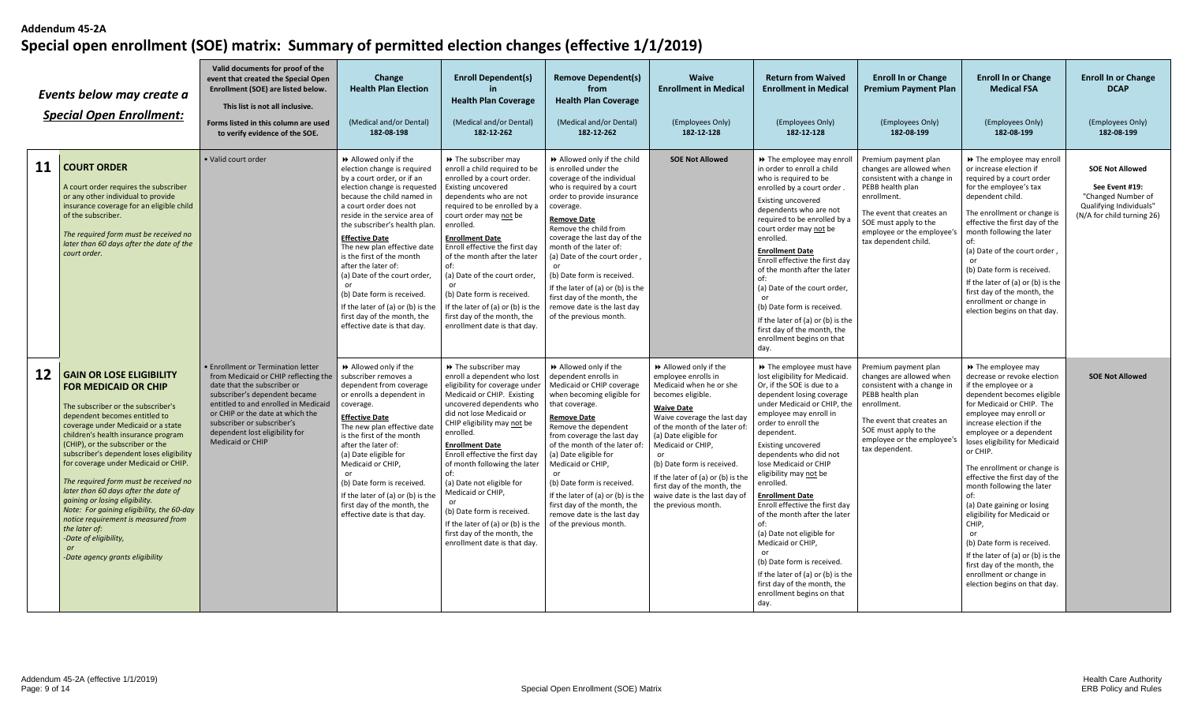|    | Events below may create a<br><b>Special Open Enrollment:</b>                                                                                                                                                                                                                                                                                                                                                                                                                                                                                                                                                                                | Valid documents for proof of the<br>event that created the Special Open<br>Enrollment (SOE) are listed below.<br>This list is not all inclusive.<br>Forms listed in this column are used<br>to verify evidence of the SOE.                                                                                 | Change<br><b>Health Plan Election</b><br>(Medical and/or Dental)<br>182-08-198                                                                                                                                                                                                                                                                                                                                                                                                                                                | <b>Enroll Dependent(s)</b><br><b>Health Plan Coverage</b><br>(Medical and/or Dental)<br>182-12-262                                                                                                                                                                                                                                                                                                                                                                                                       | <b>Remove Dependent(s)</b><br>from<br><b>Health Plan Coverage</b><br>(Medical and/or Dental)<br>182-12-262                                                                                                                                                                                                                                                                                                                                                            | <b>Waive</b><br><b>Enrollment in Medical</b><br>(Employees Only)<br>182-12-128                                                                                                                                                                                                                                                                                                         | <b>Return from Waived</b><br><b>Enrollment in Medical</b><br>(Employees Only)<br>182-12-128                                                                                                                                                                                                                                                                                                                                                                                                                                                                                                                                      | <b>Enroll In or Change</b><br><b>Premium Payment Plan</b><br>(Employees Only)<br>182-08-199                                                                                                                                    | <b>Enroll In or Change</b><br><b>Medical FSA</b><br>(Employees Only)<br>182-08-199                                                                                                                                                                                                                                                                                                                                                                                                                                                                                                                           | <b>Enroll In or Change</b><br><b>DCAP</b><br>(Employees Only)<br>182-08-199                                             |
|----|---------------------------------------------------------------------------------------------------------------------------------------------------------------------------------------------------------------------------------------------------------------------------------------------------------------------------------------------------------------------------------------------------------------------------------------------------------------------------------------------------------------------------------------------------------------------------------------------------------------------------------------------|------------------------------------------------------------------------------------------------------------------------------------------------------------------------------------------------------------------------------------------------------------------------------------------------------------|-------------------------------------------------------------------------------------------------------------------------------------------------------------------------------------------------------------------------------------------------------------------------------------------------------------------------------------------------------------------------------------------------------------------------------------------------------------------------------------------------------------------------------|----------------------------------------------------------------------------------------------------------------------------------------------------------------------------------------------------------------------------------------------------------------------------------------------------------------------------------------------------------------------------------------------------------------------------------------------------------------------------------------------------------|-----------------------------------------------------------------------------------------------------------------------------------------------------------------------------------------------------------------------------------------------------------------------------------------------------------------------------------------------------------------------------------------------------------------------------------------------------------------------|----------------------------------------------------------------------------------------------------------------------------------------------------------------------------------------------------------------------------------------------------------------------------------------------------------------------------------------------------------------------------------------|----------------------------------------------------------------------------------------------------------------------------------------------------------------------------------------------------------------------------------------------------------------------------------------------------------------------------------------------------------------------------------------------------------------------------------------------------------------------------------------------------------------------------------------------------------------------------------------------------------------------------------|--------------------------------------------------------------------------------------------------------------------------------------------------------------------------------------------------------------------------------|--------------------------------------------------------------------------------------------------------------------------------------------------------------------------------------------------------------------------------------------------------------------------------------------------------------------------------------------------------------------------------------------------------------------------------------------------------------------------------------------------------------------------------------------------------------------------------------------------------------|-------------------------------------------------------------------------------------------------------------------------|
| 11 | <b>COURT ORDER</b><br>A court order requires the subscriber<br>or any other individual to provide<br>insurance coverage for an eligible child<br>of the subscriber.<br>The required form must be received no<br>later than 60 days after the date of the<br>court order.                                                                                                                                                                                                                                                                                                                                                                    | · Valid court order                                                                                                                                                                                                                                                                                        | Allowed only if the<br>election change is required<br>by a court order, or if an<br>election change is requested<br>because the child named in<br>a court order does not<br>reside in the service area of<br>the subscriber's health plan.<br><b>Effective Date</b><br>The new plan effective date<br>is the first of the month<br>after the later of:<br>(a) Date of the court order,<br>or<br>(b) Date form is received.<br>If the later of (a) or (b) is the<br>first day of the month, the<br>effective date is that day. | >> The subscriber may<br>enroll a child required to be<br>enrolled by a court order.<br>Existing uncovered<br>dependents who are not<br>required to be enrolled by a<br>court order may not be<br>enrolled.<br><b>Enrollment Date</b><br>Enroll effective the first day<br>of the month after the later<br>of:<br>(a) Date of the court order,<br>(b) Date form is received.<br>If the later of (a) or (b) is the<br>first day of the month, the<br>enrollment date is that day.                         | >> Allowed only if the child<br>is enrolled under the<br>coverage of the individual<br>who is required by a court<br>order to provide insurance<br>coverage.<br><b>Remove Date</b><br>Remove the child from<br>coverage the last day of the<br>month of the later of:<br>(a) Date of the court order<br>or<br>(b) Date form is received.<br>If the later of (a) or (b) is the<br>first day of the month, the<br>remove date is the last day<br>of the previous month. | <b>SOE Not Allowed</b>                                                                                                                                                                                                                                                                                                                                                                 | → The employee may enroll<br>in order to enroll a child<br>who is required to be<br>enrolled by a court order.<br><b>Existing uncovered</b><br>dependents who are not<br>required to be enrolled by a<br>court order may not be<br>enrolled.<br><b>Enrollment Date</b><br>Enroll effective the first day<br>of the month after the later<br>of:<br>(a) Date of the court order,<br>nr<br>(b) Date form is received.<br>If the later of (a) or (b) is the<br>first day of the month, the<br>enrollment begins on that<br>day.                                                                                                     | Premium payment plan<br>changes are allowed when<br>consistent with a change in<br>PEBB health plan<br>enrollment.<br>The event that creates an<br>SOE must apply to the<br>employee or the employee's<br>tax dependent child. | >> The employee may enroll<br>or increase election if<br>required by a court order<br>for the employee's tax<br>dependent child.<br>The enrollment or change is<br>effective the first day of the<br>month following the later<br>of:<br>(a) Date of the court order,<br>(b) Date form is received.<br>If the later of (a) or (b) is the<br>first day of the month, the<br>enrollment or change in<br>election begins on that day.                                                                                                                                                                           | <b>SOE Not Allowed</b><br>See Event #19:<br>"Changed Number of<br>Qualifying Individuals"<br>(N/A for child turning 26) |
| 12 | <b>GAIN OR LOSE ELIGIBILITY</b><br><b>FOR MEDICAID OR CHIP</b><br>The subscriber or the subscriber's<br>dependent becomes entitled to<br>coverage under Medicaid or a state<br>children's health insurance program<br>(CHIP), or the subscriber or the<br>subscriber's dependent loses eligibility<br>for coverage under Medicaid or CHIP.<br>The required form must be received no<br>later than 60 days after the date of<br>gaining or losing eligibility.<br>Note: For gaining eligibility, the 60-day<br>notice requirement is measured from<br>the later of:<br>-Date of eligibility,<br><b>or</b><br>-Date agency grants eligibility | • Enrollment or Termination letter<br>from Medicaid or CHIP reflecting the<br>date that the subscriber or<br>subscriber's dependent became<br>entitled to and enrolled in Medicaid<br>or CHIP or the date at which the<br>subscriber or subscriber's<br>dependent lost eligibility for<br>Medicaid or CHIP | Allowed only if the<br>subscriber removes a<br>dependent from coverage<br>or enrolls a dependent in<br>coverage.<br><b>Effective Date</b><br>The new plan effective date<br>is the first of the month<br>after the later of:<br>(a) Date eligible for<br>Medicaid or CHIP,<br>(b) Date form is received.<br>If the later of (a) or (b) is the<br>first day of the month, the<br>effective date is that day.                                                                                                                   | >> The subscriber may<br>enroll a dependent who lost<br>eligibility for coverage under<br>Medicaid or CHIP. Existing<br>uncovered dependents who<br>did not lose Medicaid or<br>CHIP eligibility may not be<br>enrolled.<br><b>Enrollment Date</b><br>Enroll effective the first day<br>of month following the later<br>(a) Date not eligible for<br>Medicaid or CHIP.<br>(b) Date form is received.<br>If the later of (a) or (b) is the<br>first day of the month, the<br>enrollment date is that day. | >> Allowed only if the<br>dependent enrolls in<br>Medicaid or CHIP coverage<br>when becoming eligible for<br>that coverage.<br><b>Remove Date</b><br>Remove the dependent<br>from coverage the last day<br>of the month of the later of<br>(a) Date eligible for<br>Medicaid or CHIP,<br>(b) Date form is received.<br>If the later of (a) or (b) is the<br>first day of the month, the<br>remove date is the last day<br>of the previous month.                      | Allowed only if the<br>employee enrolls in<br>Medicaid when he or she<br>becomes eligible.<br><b>Waive Date</b><br>Waive coverage the last day<br>of the month of the later of<br>(a) Date eligible for<br>Medicaid or CHIP,<br>(b) Date form is received.<br>If the later of (a) or (b) is the<br>first day of the month, the<br>waive date is the last day of<br>the previous month. | >> The employee must have<br>lost eligibility for Medicaid.<br>Or, if the SOE is due to a<br>dependent losing coverage<br>under Medicaid or CHIP, the<br>employee may enroll in<br>order to enroll the<br>dependent.<br>Existing uncovered<br>dependents who did not<br>lose Medicaid or CHIP<br>eligibility may not be<br>enrolled.<br><b>Enrollment Date</b><br>Enroll effective the first day<br>of the month after the later<br>of:<br>(a) Date not eligible for<br>Medicaid or CHIP,<br>(b) Date form is received.<br>If the later of (a) or (b) is the<br>first day of the month, the<br>enrollment begins on that<br>day. | Premium payment plan<br>changes are allowed when<br>consistent with a change in<br>PEBB health plan<br>enrollment.<br>The event that creates an<br>SOE must apply to the<br>employee or the employee's<br>tax dependent.       | >> The employee may<br>decrease or revoke election<br>if the employee or a<br>dependent becomes eligible<br>for Medicaid or CHIP. The<br>employee may enroll or<br>increase election if the<br>employee or a dependent<br>loses eligibility for Medicaid<br>or CHIP.<br>The enrollment or change is<br>effective the first day of the<br>month following the later<br>of:<br>(a) Date gaining or losing<br>eligibility for Medicaid or<br>CHIP.<br>(b) Date form is received.<br>If the later of (a) or (b) is the<br>first day of the month, the<br>enrollment or change in<br>election begins on that day. | <b>SOE Not Allowed</b>                                                                                                  |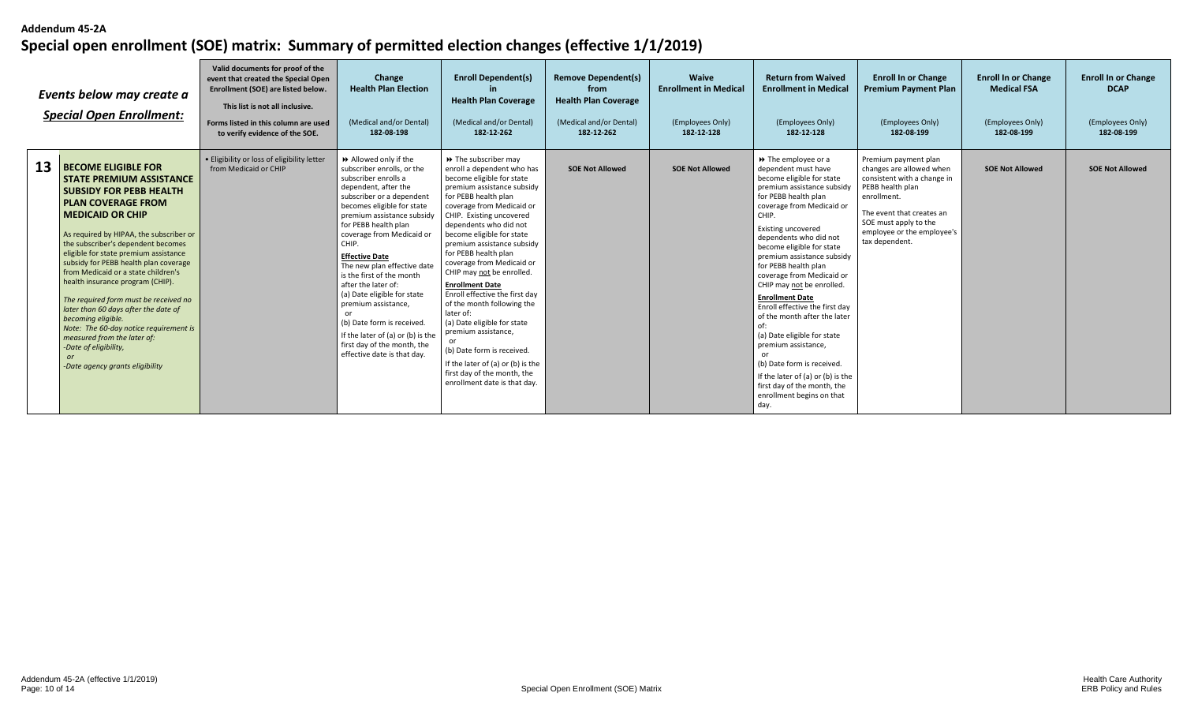|    | Events below may create a<br><b>Special Open Enrollment:</b>                                                                                                                                                                                                                                                                                                                                                                                                                                                                                                                                                                                            | Valid documents for proof of the<br>event that created the Special Open<br>Enrollment (SOE) are listed below.<br>This list is not all inclusive.<br>Forms listed in this column are used<br>to verify evidence of the SOE. | Change<br><b>Health Plan Election</b><br>(Medical and/or Dental)<br>182-08-198                                                                                                                                                                                                                                                                                                                                                                                                                                                                              | <b>Enroll Dependent(s)</b><br><b>Health Plan Coverage</b><br>(Medical and/or Dental)<br>182-12-262                                                                                                                                                                                                                                                                                                                                                                                                                                                                                                                                                                    | <b>Remove Dependent(s)</b><br>from<br><b>Health Plan Coverage</b><br>(Medical and/or Dental)<br>182-12-262 | <b>Waive</b><br><b>Enrollment in Medical</b><br>(Employees Only)<br>182-12-128 | <b>Return from Waived</b><br><b>Enrollment in Medical</b><br>(Employees Only)<br>182-12-128                                                                                                                                                                                                                                                                                                                                                                                                                                                                                                                                                                                         | <b>Enroll In or Change</b><br><b>Premium Payment Plan</b><br>(Employees Only)<br>182-08-199                                                                                                                              | <b>Enroll In or Change</b><br><b>Medical FSA</b><br>(Employees Only)<br>182-08-199 | <b>Enroll In or Change</b><br><b>DCAP</b><br>(Employees Only)<br>182-08-199 |
|----|---------------------------------------------------------------------------------------------------------------------------------------------------------------------------------------------------------------------------------------------------------------------------------------------------------------------------------------------------------------------------------------------------------------------------------------------------------------------------------------------------------------------------------------------------------------------------------------------------------------------------------------------------------|----------------------------------------------------------------------------------------------------------------------------------------------------------------------------------------------------------------------------|-------------------------------------------------------------------------------------------------------------------------------------------------------------------------------------------------------------------------------------------------------------------------------------------------------------------------------------------------------------------------------------------------------------------------------------------------------------------------------------------------------------------------------------------------------------|-----------------------------------------------------------------------------------------------------------------------------------------------------------------------------------------------------------------------------------------------------------------------------------------------------------------------------------------------------------------------------------------------------------------------------------------------------------------------------------------------------------------------------------------------------------------------------------------------------------------------------------------------------------------------|------------------------------------------------------------------------------------------------------------|--------------------------------------------------------------------------------|-------------------------------------------------------------------------------------------------------------------------------------------------------------------------------------------------------------------------------------------------------------------------------------------------------------------------------------------------------------------------------------------------------------------------------------------------------------------------------------------------------------------------------------------------------------------------------------------------------------------------------------------------------------------------------------|--------------------------------------------------------------------------------------------------------------------------------------------------------------------------------------------------------------------------|------------------------------------------------------------------------------------|-----------------------------------------------------------------------------|
| 13 | <b>BECOME ELIGIBLE FOR</b><br><b>STATE PREMIUM ASSISTANCE</b><br><b>SUBSIDY FOR PEBB HEALTH</b><br><b>PLAN COVERAGE FROM</b><br><b>MEDICAID OR CHIP</b><br>As required by HIPAA, the subscriber or<br>the subscriber's dependent becomes<br>eligible for state premium assistance<br>subsidy for PEBB health plan coverage<br>from Medicaid or a state children's<br>health insurance program (CHIP).<br>The required form must be received no<br>later than 60 days after the date of<br>becomina eligible.<br>Note: The 60-day notice requirement is<br>measured from the later of:<br>-Date of eligibility,<br>or<br>-Date agency grants eligibility | . Eligibility or loss of eligibility letter<br>from Medicaid or CHIP                                                                                                                                                       | Allowed only if the<br>subscriber enrolls, or the<br>subscriber enrolls a<br>dependent, after the<br>subscriber or a dependent<br>becomes eligible for state<br>premium assistance subsidy<br>for PEBB health plan<br>coverage from Medicaid or<br>CHIP.<br><b>Effective Date</b><br>The new plan effective date<br>is the first of the month<br>after the later of:<br>(a) Date eligible for state<br>premium assistance,<br>(b) Date form is received.<br>If the later of (a) or (b) is the<br>first day of the month, the<br>effective date is that day. | >> The subscriber may<br>enroll a dependent who has<br>become eligible for state<br>premium assistance subsidy<br>for PEBB health plan<br>coverage from Medicaid or<br>CHIP. Existing uncovered<br>dependents who did not<br>become eligible for state<br>premium assistance subsidy<br>for PEBB health plan<br>coverage from Medicaid or<br>CHIP may not be enrolled.<br><b>Enrollment Date</b><br>Enroll effective the first day<br>of the month following the<br>later of:<br>(a) Date eligible for state<br>premium assistance,<br>(b) Date form is received.<br>If the later of (a) or (b) is the<br>first day of the month, the<br>enrollment date is that day. | <b>SOE Not Allowed</b>                                                                                     | <b>SOE Not Allowed</b>                                                         | $\rightarrow$ The employee or a<br>dependent must have<br>become eligible for state<br>premium assistance subsidy<br>for PEBB health plan<br>coverage from Medicaid or<br>CHIP.<br><b>Existing uncovered</b><br>dependents who did not<br>become eligible for state<br>premium assistance subsidy<br>for PEBB health plan<br>coverage from Medicaid or<br>CHIP may not be enrolled.<br><b>Enrollment Date</b><br>Enroll effective the first day<br>of the month after the later<br>of:<br>(a) Date eligible for state<br>premium assistance,<br>(b) Date form is received.<br>If the later of (a) or (b) is the<br>first day of the month, the<br>enrollment begins on that<br>day. | Premium payment plan<br>changes are allowed when<br>consistent with a change in<br>PEBB health plan<br>enrollment.<br>The event that creates an<br>SOE must apply to the<br>employee or the employee's<br>tax dependent. | <b>SOE Not Allowed</b>                                                             | <b>SOE Not Allowed</b>                                                      |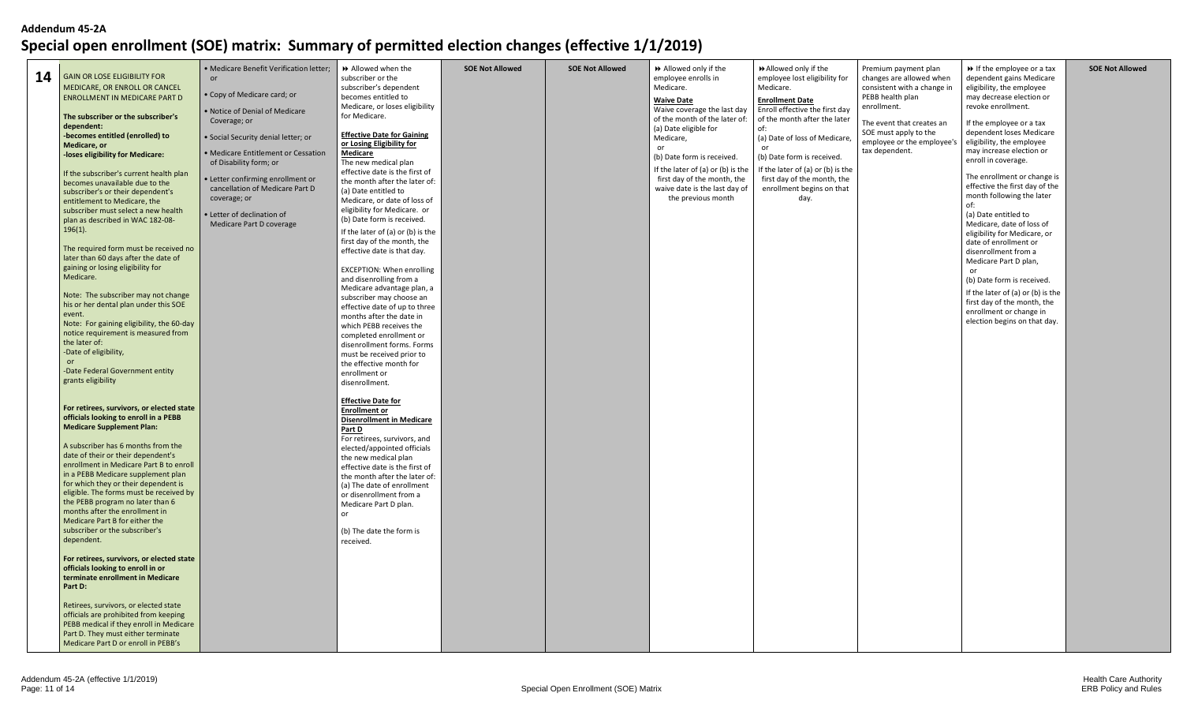| 14 | <b>GAIN OR LOSE ELIGIBILITY FOR</b><br>MEDICARE, OR ENROLL OR CANCEL<br>ENROLLMENT IN MEDICARE PART D<br>The subscriber or the subscriber's<br>dependent:<br>-becomes entitled (enrolled) to<br>Medicare, or<br>-loses eligibility for Medicare:<br>If the subscriber's current health plan<br>becomes unavailable due to the<br>subscriber's or their dependent's<br>entitlement to Medicare, the<br>subscriber must select a new health<br>plan as described in WAC 182-08-<br>$196(1)$ .<br>The required form must be received no<br>later than 60 days after the date of<br>gaining or losing eligibility for<br>Medicare.<br>Note: The subscriber may not change<br>his or her dental plan under this SOE<br>event.<br>Note: For gaining eligibility, the 60-day<br>notice requirement is measured from<br>the later of:<br>-Date of eligibility,<br><b>or</b><br>-Date Federal Government entity<br>grants eligibility | · Medicare Benefit Verification letter;<br>or<br>• Copy of Medicare card; or<br>. Notice of Denial of Medicare<br>Coverage; or<br>· Social Security denial letter; or<br>• Medicare Entitlement or Cessation<br>of Disability form; or<br>· Letter confirming enrollment or<br>cancellation of Medicare Part D<br>coverage; or<br>· Letter of declination of<br>Medicare Part D coverage | Allowed when the<br>subscriber or the<br>subscriber's dependent<br>becomes entitled to<br>Medicare, or loses eligibility<br>for Medicare.<br><b>Effective Date for Gaining</b><br>or Losing Eligibility for<br><b>Medicare</b><br>The new medical plan<br>effective date is the first of<br>the month after the later of:<br>(a) Date entitled to<br>Medicare, or date of loss of<br>eligibility for Medicare. or<br>(b) Date form is received.<br>If the later of (a) or (b) is the<br>first day of the month, the<br>effective date is that day.<br><b>EXCEPTION: When enrolling</b><br>and disenrolling from a<br>Medicare advantage plan, a<br>subscriber may choose an<br>effective date of up to three<br>months after the date in<br>which PEBB receives the<br>completed enrollment or<br>disenrollment forms. Forms<br>must be received prior to<br>the effective month for<br>enrollment or | <b>SOE Not Allowed</b> | <b>SOE Not Allowed</b> | >> Allowed only if the<br>employee enrolls in<br>Medicare.<br><b>Waive Date</b><br>Waive coverage the last day<br>of the month of the later of:<br>(a) Date eligible for<br>Medicare,<br>or<br>(b) Date form is received.<br>If the later of (a) or (b) is the<br>first day of the month, the<br>waive date is the last day of<br>the previous month | ▶ Allowed only if the<br>employee lost eligibility for<br>Medicare.<br><b>Enrollment Date</b><br>Enroll effective the first day<br>of the month after the later<br>of:<br>(a) Date of loss of Medicare,<br>(b) Date form is received.<br>If the later of (a) or (b) is the<br>first day of the month, the<br>enrollment begins on that<br>day. | Premium payment plan<br>changes are allowed when<br>consistent with a change in<br>PEBB health plan<br>enrollment.<br>The event that creates an<br>SOE must apply to the<br>employee or the employee's<br>tax dependent. | If the employee or a tax<br>dependent gains Medicare<br>eligibility, the employee<br>may decrease election or<br>revoke enrollment.<br>If the employee or a tax<br>dependent loses Medicare<br>eligibility, the employee<br>may increase election or<br>enroll in coverage.<br>The enrollment or change is<br>effective the first day of the<br>month following the later<br>of:<br>(a) Date entitled to<br>Medicare, date of loss of<br>eligibility for Medicare, or<br>date of enrollment or<br>disenrollment from a<br>Medicare Part D plan,<br>or<br>(b) Date form is received.<br>If the later of (a) or (b) is the<br>first day of the month, the<br>enrollment or change in<br>election begins on that day. | <b>SOE Not Allowed</b> |
|----|------------------------------------------------------------------------------------------------------------------------------------------------------------------------------------------------------------------------------------------------------------------------------------------------------------------------------------------------------------------------------------------------------------------------------------------------------------------------------------------------------------------------------------------------------------------------------------------------------------------------------------------------------------------------------------------------------------------------------------------------------------------------------------------------------------------------------------------------------------------------------------------------------------------------------|------------------------------------------------------------------------------------------------------------------------------------------------------------------------------------------------------------------------------------------------------------------------------------------------------------------------------------------------------------------------------------------|-------------------------------------------------------------------------------------------------------------------------------------------------------------------------------------------------------------------------------------------------------------------------------------------------------------------------------------------------------------------------------------------------------------------------------------------------------------------------------------------------------------------------------------------------------------------------------------------------------------------------------------------------------------------------------------------------------------------------------------------------------------------------------------------------------------------------------------------------------------------------------------------------------|------------------------|------------------------|------------------------------------------------------------------------------------------------------------------------------------------------------------------------------------------------------------------------------------------------------------------------------------------------------------------------------------------------------|------------------------------------------------------------------------------------------------------------------------------------------------------------------------------------------------------------------------------------------------------------------------------------------------------------------------------------------------|--------------------------------------------------------------------------------------------------------------------------------------------------------------------------------------------------------------------------|--------------------------------------------------------------------------------------------------------------------------------------------------------------------------------------------------------------------------------------------------------------------------------------------------------------------------------------------------------------------------------------------------------------------------------------------------------------------------------------------------------------------------------------------------------------------------------------------------------------------------------------------------------------------------------------------------------------------|------------------------|
|    | For retirees, survivors, or elected state<br>officials looking to enroll in a PEBB<br><b>Medicare Supplement Plan:</b><br>A subscriber has 6 months from the<br>date of their or their dependent's<br>enrollment in Medicare Part B to enroll<br>in a PEBB Medicare supplement plan<br>for which they or their dependent is<br>eligible. The forms must be received by<br>the PEBB program no later than 6<br>months after the enrollment in<br>Medicare Part B for either the<br>subscriber or the subscriber's<br>dependent.<br>For retirees, survivors, or elected state<br>officials looking to enroll in or<br>terminate enrollment in Medicare<br>Part D:<br>Retirees, survivors, or elected state<br>officials are prohibited from keeping<br>PEBB medical if they enroll in Medicare<br>Part D. They must either terminate<br>Medicare Part D or enroll in PEBB's                                                    |                                                                                                                                                                                                                                                                                                                                                                                          | disenrollment.<br><b>Effective Date for</b><br><b>Enrollment or</b><br><b>Disenrollment in Medicare</b><br>Part D<br>For retirees, survivors, and<br>elected/appointed officials<br>the new medical plan<br>effective date is the first of<br>the month after the later of:<br>(a) The date of enrollment<br>or disenrollment from a<br>Medicare Part D plan.<br>$\alpha$ r<br>(b) The date the form is<br>received.                                                                                                                                                                                                                                                                                                                                                                                                                                                                                  |                        |                        |                                                                                                                                                                                                                                                                                                                                                      |                                                                                                                                                                                                                                                                                                                                                |                                                                                                                                                                                                                          |                                                                                                                                                                                                                                                                                                                                                                                                                                                                                                                                                                                                                                                                                                                    |                        |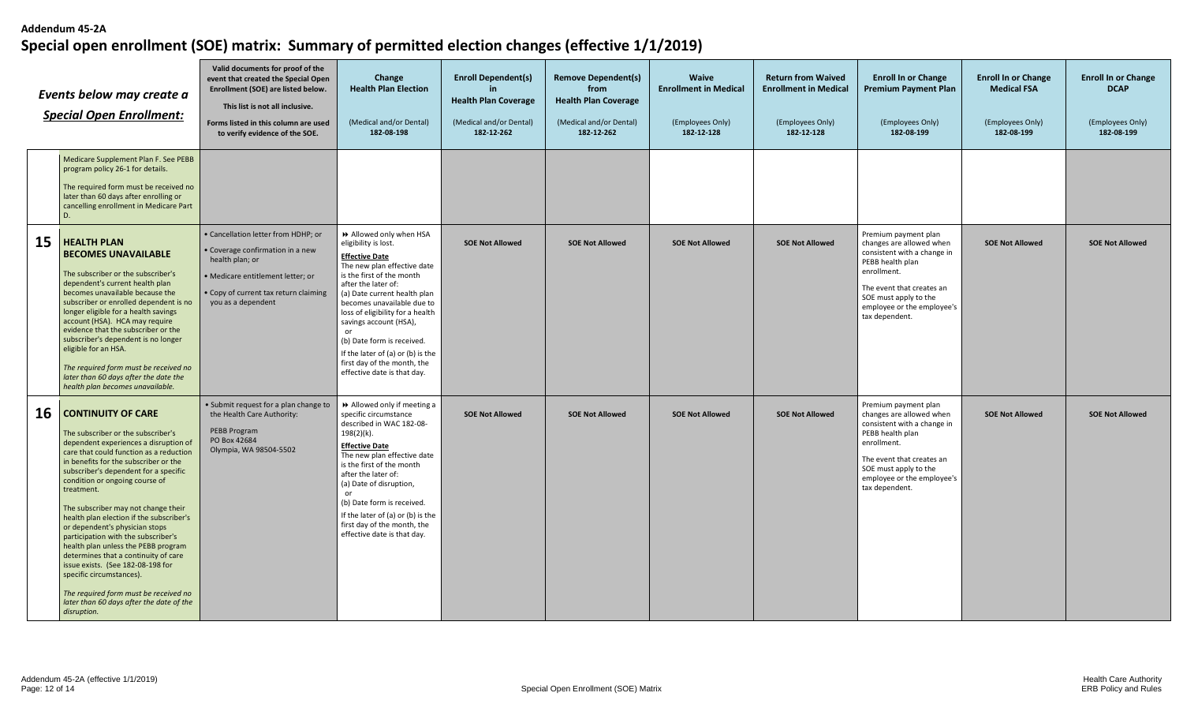|    | Events below may create a<br><b>Special Open Enrollment:</b>                                                                                                                                                                                                                                                                                                                                                                                                                                                                                                                                                                                                                                          | Valid documents for proof of the<br>event that created the Special Open<br>Enrollment (SOE) are listed below.<br>This list is not all inclusive.<br>Forms listed in this column are used<br>to verify evidence of the SOE. | Change<br><b>Health Plan Election</b><br>(Medical and/or Dental)<br>182-08-198                                                                                                                                                                                                                                                                                                                                                  | <b>Enroll Dependent(s)</b><br><b>Health Plan Coverage</b><br>(Medical and/or Dental)<br>182-12-262 | <b>Remove Dependent(s)</b><br>from<br><b>Health Plan Coverage</b><br>(Medical and/or Dental)<br>182-12-262 | <b>Waive</b><br><b>Enrollment in Medical</b><br>(Employees Only)<br>182-12-128 | <b>Return from Waived</b><br><b>Enrollment in Medical</b><br>(Employees Only)<br>182-12-128 | <b>Enroll In or Change</b><br><b>Premium Payment Plan</b><br>(Employees Only)<br>182-08-199                                                                                                                              | <b>Enroll In or Change</b><br><b>Medical FSA</b><br>(Employees Only)<br>182-08-199 | <b>Enroll In or Change</b><br><b>DCAP</b><br>(Employees Only)<br>182-08-199 |
|----|-------------------------------------------------------------------------------------------------------------------------------------------------------------------------------------------------------------------------------------------------------------------------------------------------------------------------------------------------------------------------------------------------------------------------------------------------------------------------------------------------------------------------------------------------------------------------------------------------------------------------------------------------------------------------------------------------------|----------------------------------------------------------------------------------------------------------------------------------------------------------------------------------------------------------------------------|---------------------------------------------------------------------------------------------------------------------------------------------------------------------------------------------------------------------------------------------------------------------------------------------------------------------------------------------------------------------------------------------------------------------------------|----------------------------------------------------------------------------------------------------|------------------------------------------------------------------------------------------------------------|--------------------------------------------------------------------------------|---------------------------------------------------------------------------------------------|--------------------------------------------------------------------------------------------------------------------------------------------------------------------------------------------------------------------------|------------------------------------------------------------------------------------|-----------------------------------------------------------------------------|
|    | Medicare Supplement Plan F. See PEBB<br>program policy 26-1 for details.<br>The required form must be received no<br>later than 60 days after enrolling or<br>cancelling enrollment in Medicare Part<br>D.                                                                                                                                                                                                                                                                                                                                                                                                                                                                                            |                                                                                                                                                                                                                            |                                                                                                                                                                                                                                                                                                                                                                                                                                 |                                                                                                    |                                                                                                            |                                                                                |                                                                                             |                                                                                                                                                                                                                          |                                                                                    |                                                                             |
| 15 | <b>HEALTH PLAN</b><br><b>BECOMES UNAVAILABLE</b><br>The subscriber or the subscriber's<br>dependent's current health plan<br>becomes unavailable because the<br>subscriber or enrolled dependent is no<br>longer eligible for a health savings<br>account (HSA). HCA may require<br>evidence that the subscriber or the<br>subscriber's dependent is no longer<br>eligible for an HSA.<br>The required form must be received no<br>later than 60 days after the date the<br>health plan becomes unavailable.                                                                                                                                                                                          | · Cancellation letter from HDHP; or<br>· Coverage confirmation in a new<br>health plan; or<br>· Medicare entitlement letter; or<br>• Copy of current tax return claiming<br>you as a dependent                             | >> Allowed only when HSA<br>eligibility is lost.<br><b>Effective Date</b><br>The new plan effective date<br>is the first of the month<br>after the later of:<br>(a) Date current health plan<br>becomes unavailable due to<br>loss of eligibility for a health<br>savings account (HSA),<br>or<br>(b) Date form is received.<br>If the later of (a) or (b) is the<br>first day of the month, the<br>effective date is that day. | <b>SOE Not Allowed</b>                                                                             | <b>SOE Not Allowed</b>                                                                                     | <b>SOE Not Allowed</b>                                                         | <b>SOE Not Allowed</b>                                                                      | Premium payment plan<br>changes are allowed when<br>consistent with a change in<br>PEBB health plan<br>enrollment.<br>The event that creates an<br>SOE must apply to the<br>employee or the employee's<br>tax dependent. | <b>SOE Not Allowed</b>                                                             | <b>SOE Not Allowed</b>                                                      |
| 16 | <b>CONTINUITY OF CARE</b><br>The subscriber or the subscriber's<br>dependent experiences a disruption of<br>care that could function as a reduction<br>in benefits for the subscriber or the<br>subscriber's dependent for a specific<br>condition or ongoing course of<br>treatment.<br>The subscriber may not change their<br>health plan election if the subscriber's<br>or dependent's physician stops<br>participation with the subscriber's<br>health plan unless the PEBB program<br>determines that a continuity of care<br>issue exists. (See 182-08-198 for<br>specific circumstances).<br>The required form must be received no<br>later than 60 days after the date of the<br>disruption. | · Submit request for a plan change to<br>the Health Care Authority:<br>PEBB Program<br>PO Box 42684<br>Olympia, WA 98504-5502                                                                                              | >> Allowed only if meeting a<br>specific circumstance<br>described in WAC 182-08-<br>198(2)(k).<br><b>Effective Date</b><br>The new plan effective date<br>is the first of the month<br>after the later of:<br>(a) Date of disruption,<br>or<br>(b) Date form is received.<br>If the later of (a) or (b) is the<br>first day of the month, the<br>effective date is that day.                                                   | <b>SOE Not Allowed</b>                                                                             | <b>SOE Not Allowed</b>                                                                                     | <b>SOE Not Allowed</b>                                                         | <b>SOE Not Allowed</b>                                                                      | Premium payment plan<br>changes are allowed when<br>consistent with a change in<br>PEBB health plan<br>enrollment.<br>The event that creates an<br>SOE must apply to the<br>employee or the employee's<br>tax dependent. | <b>SOE Not Allowed</b>                                                             | <b>SOE Not Allowed</b>                                                      |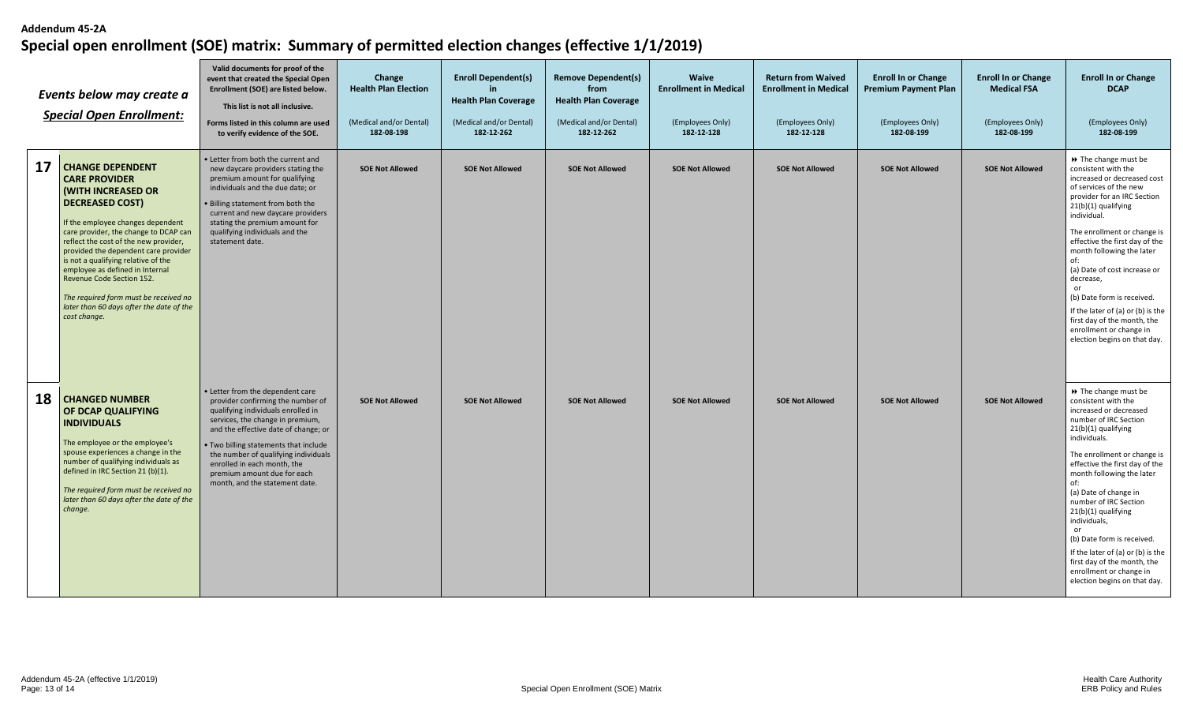| Events below may create a<br><b>Special Open Enrollment:</b> |                                                                                                                                                                                                                                                                                                                                                                                                                                                                            | Valid documents for proof of the<br>event that created the Special Open<br>Enrollment (SOE) are listed below.<br>This list is not all inclusive.<br>Forms listed in this column are used<br>to verify evidence of the SOE.                                                                                                                                               | Change<br><b>Health Plan Election</b><br>(Medical and/or Dental)<br>182-08-198 | <b>Enroll Dependent(s)</b><br><b>Health Plan Coverage</b><br>(Medical and/or Dental)<br>182-12-262 | <b>Remove Dependent(s)</b><br>from<br><b>Health Plan Coverage</b><br>(Medical and/or Dental)<br>182-12-262 | <b>Waive</b><br><b>Enrollment in Medical</b><br>(Employees Only)<br>182-12-128 | <b>Return from Waived</b><br><b>Enrollment in Medical</b><br>(Employees Only)<br>182-12-128 | <b>Enroll In or Change</b><br><b>Premium Payment Plan</b><br>(Employees Only)<br>182-08-199 | <b>Enroll In or Change</b><br><b>Medical FSA</b><br>(Employees Only)<br>182-08-199 | <b>Enroll In or Change</b><br><b>DCAP</b><br>(Employees Only)<br>182-08-199                                                                                                                                                                                                                                                                                                                                                                                                                            |
|--------------------------------------------------------------|----------------------------------------------------------------------------------------------------------------------------------------------------------------------------------------------------------------------------------------------------------------------------------------------------------------------------------------------------------------------------------------------------------------------------------------------------------------------------|--------------------------------------------------------------------------------------------------------------------------------------------------------------------------------------------------------------------------------------------------------------------------------------------------------------------------------------------------------------------------|--------------------------------------------------------------------------------|----------------------------------------------------------------------------------------------------|------------------------------------------------------------------------------------------------------------|--------------------------------------------------------------------------------|---------------------------------------------------------------------------------------------|---------------------------------------------------------------------------------------------|------------------------------------------------------------------------------------|--------------------------------------------------------------------------------------------------------------------------------------------------------------------------------------------------------------------------------------------------------------------------------------------------------------------------------------------------------------------------------------------------------------------------------------------------------------------------------------------------------|
| 17                                                           | <b>CHANGE DEPENDENT</b><br><b>CARE PROVIDER</b><br>(WITH INCREASED OR<br><b>DECREASED COST)</b><br>If the employee changes dependent<br>care provider, the change to DCAP can<br>reflect the cost of the new provider,<br>provided the dependent care provider<br>is not a qualifying relative of the<br>employee as defined in Internal<br>Revenue Code Section 152.<br>The required form must be received no<br>later than 60 days after the date of the<br>cost change. | • Letter from both the current and<br>new daycare providers stating the<br>premium amount for qualifying<br>individuals and the due date; or<br><b>Billing statement from both the</b><br>current and new daycare providers<br>stating the premium amount for<br>qualifying individuals and the<br>statement date.                                                       | <b>SOE Not Allowed</b>                                                         | <b>SOE Not Allowed</b>                                                                             | <b>SOE Not Allowed</b>                                                                                     | <b>SOE Not Allowed</b>                                                         | <b>SOE Not Allowed</b>                                                                      | <b>SOE Not Allowed</b>                                                                      | <b>SOE Not Allowed</b>                                                             | ▶ The change must be<br>consistent with the<br>increased or decreased cost<br>of services of the new<br>provider for an IRC Section<br>21(b)(1) qualifying<br>individual.<br>The enrollment or change is<br>effective the first day of the<br>month following the later<br>(a) Date of cost increase or<br>decrease,<br>or<br>(b) Date form is received.<br>If the later of (a) or (b) is the<br>first day of the month, the<br>enrollment or change in<br>election begins on that day.                |
| 18                                                           | <b>CHANGED NUMBER</b><br>OF DCAP QUALIFYING<br><b>INDIVIDUALS</b><br>The employee or the employee's<br>spouse experiences a change in the<br>number of qualifying individuals as<br>defined in IRC Section 21 (b)(1).<br>The required form must be received no<br>later than 60 days after the date of the<br>change.                                                                                                                                                      | • Letter from the dependent care<br>provider confirming the number of<br>qualifying individuals enrolled in<br>services, the change in premium,<br>and the effective date of change; or<br>. Two billing statements that include<br>the number of qualifying individuals<br>enrolled in each month, the<br>premium amount due for each<br>month, and the statement date. | <b>SOE Not Allowed</b>                                                         | <b>SOE Not Allowed</b>                                                                             | <b>SOE Not Allowed</b>                                                                                     | <b>SOE Not Allowed</b>                                                         | <b>SOE Not Allowed</b>                                                                      | <b>SOE Not Allowed</b>                                                                      | <b>SOE Not Allowed</b>                                                             | ▶ The change must be<br>consistent with the<br>increased or decreased<br>number of IRC Section<br>21(b)(1) qualifying<br>individuals.<br>The enrollment or change is<br>effective the first day of the<br>month following the later<br>of:<br>(a) Date of change in<br>number of IRC Section<br>21(b)(1) qualifying<br>individuals,<br>or<br>(b) Date form is received.<br>If the later of (a) or (b) is the<br>first day of the month, the<br>enrollment or change in<br>election begins on that day. |